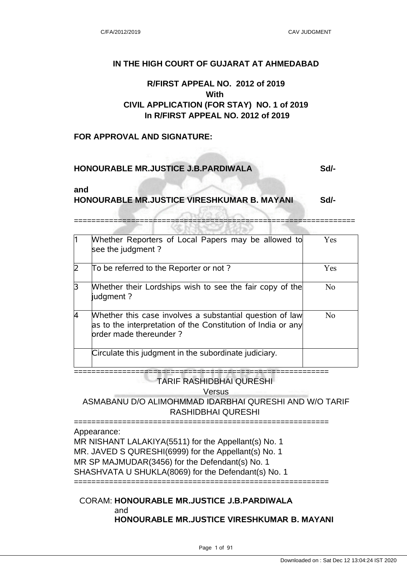#### **IN THE HIGH COURT OF GUJARAT AT AHMEDABAD**

### **R/FIRST APPEAL NO. 2012 of 2019 With CIVIL APPLICATION (FOR STAY) NO. 1 of 2019 In R/FIRST APPEAL NO. 2012 of 2019**

#### **FOR APPROVAL AND SIGNATURE:**

#### **HONOURABLE MR.JUSTICE J.B.PARDIWALA Sd/-**

#### **and**

**HONOURABLE MR.JUSTICE VIRESHKUMAR B. MAYANI Sd/-**

|  | Whether Reporters of Local Papers may be allowed to<br>see the judgment?                                                                           | Yes            |
|--|----------------------------------------------------------------------------------------------------------------------------------------------------|----------------|
|  | To be referred to the Reporter or not?                                                                                                             | Yes            |
|  | Whether their Lordships wish to see the fair copy of the<br>judgment?                                                                              | N <sub>0</sub> |
|  | Whether this case involves a substantial question of law<br>as to the interpretation of the Constitution of India or any<br>order made thereunder? | N <sub>0</sub> |
|  | Circulate this judgment in the subordinate judiciary.                                                                                              |                |
|  |                                                                                                                                                    |                |

#### TARIF RASHIDBHAI QURESHI

Versus

#### ASMABANU D/O ALIMOHMMAD IDARBHAI QURESHI AND W/O TARIF RASHIDBHAI QURESHI

==========================================================

#### Appearance:

MR NISHANT LALAKIYA(5511) for the Appellant(s) No. 1 MR. JAVED S QURESHI(6999) for the Appellant(s) No. 1 MR SP MAJMUDAR(3456) for the Defendant(s) No. 1 SHASHVATA U SHUKLA(8069) for the Defendant(s) No. 1

==========================================================

#### CORAM: **HONOURABLE MR.JUSTICE J.B.PARDIWALA** and **HONOURABLE MR.JUSTICE VIRESHKUMAR B. MAYANI**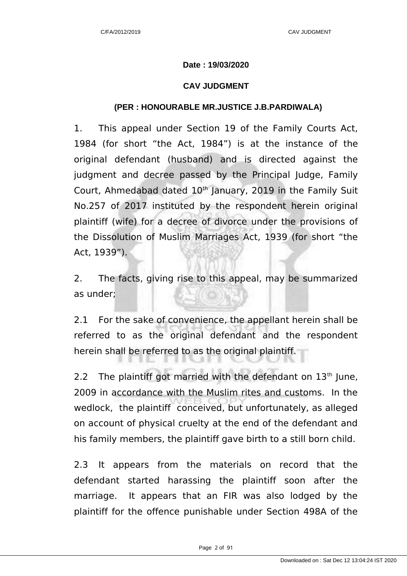### **Date : 19/03/2020**

### **CAV JUDGMENT**

### **(PER : HONOURABLE MR.JUSTICE J.B.PARDIWALA)**

1. This appeal under Section 19 of the Family Courts Act, 1984 (for short "the Act, 1984") is at the instance of the original defendant (husband) and is directed against the judgment and decree passed by the Principal Judge, Family Court, Ahmedabad dated 10<sup>th</sup> January, 2019 in the Family Suit No.257 of 2017 instituted by the respondent herein original plaintiff (wife) for a decree of divorce under the provisions of the Dissolution of Muslim Marriages Act, 1939 (for short "the Act, 1939").

2. The facts, giving rise to this appeal, may be summarized as under;

2.1 For the sake of convenience, the appellant herein shall be referred to as the original defendant and the respondent herein shall be referred to as the original plaintiff.

2.2 The plaintiff got married with the defendant on  $13<sup>th</sup>$  June, 2009 in accordance with the Muslim rites and customs. In the wedlock, the plaintiff conceived, but unfortunately, as alleged on account of physical cruelty at the end of the defendant and his family members, the plaintiff gave birth to a still born child.

2.3 It appears from the materials on record that the defendant started harassing the plaintiff soon after the marriage. It appears that an FIR was also lodged by the plaintiff for the offence punishable under Section 498A of the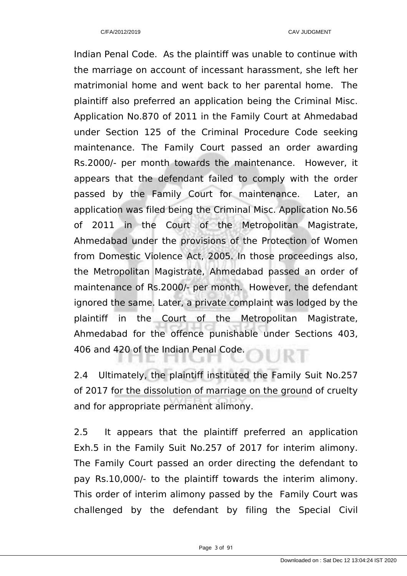Indian Penal Code. As the plaintiff was unable to continue with the marriage on account of incessant harassment, she left her matrimonial home and went back to her parental home. The plaintiff also preferred an application being the Criminal Misc. Application No.870 of 2011 in the Family Court at Ahmedabad under Section 125 of the Criminal Procedure Code seeking maintenance. The Family Court passed an order awarding Rs.2000/- per month towards the maintenance. However, it appears that the defendant failed to comply with the order passed by the Family Court for maintenance. Later, an application was filed being the Criminal Misc. Application No.56 of 2011 in the Court of the Metropolitan Magistrate, Ahmedabad under the provisions of the Protection of Women from Domestic Violence Act, 2005. In those proceedings also, the Metropolitan Magistrate, Ahmedabad passed an order of maintenance of Rs.2000/- per month. However, the defendant ignored the same. Later, a private complaint was lodged by the plaintiff in the Court of the Metropolitan Magistrate, Ahmedabad for the offence punishable under Sections 403, 406 and 420 of the Indian Penal Code.

2.4 Ultimately, the plaintiff instituted the Family Suit No.257 of 2017 for the dissolution of marriage on the ground of cruelty and for appropriate permanent alimony.

2.5 It appears that the plaintiff preferred an application Exh.5 in the Family Suit No.257 of 2017 for interim alimony. The Family Court passed an order directing the defendant to pay Rs.10,000/- to the plaintiff towards the interim alimony. This order of interim alimony passed by the Family Court was challenged by the defendant by filing the Special Civil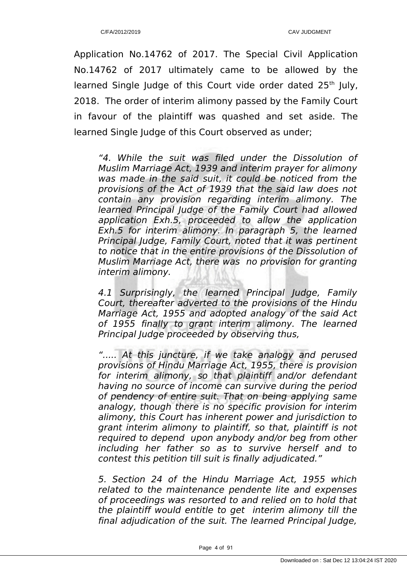Application No.14762 of 2017. The Special Civil Application No.14762 of 2017 ultimately came to be allowed by the learned Single Judge of this Court vide order dated 25<sup>th</sup> July, 2018. The order of interim alimony passed by the Family Court in favour of the plaintiff was quashed and set aside. The learned Single Judge of this Court observed as under;

"4. While the suit was filed under the Dissolution of Muslim Marriage Act, 1939 and interim prayer for alimony was made in the said suit, it could be noticed from the provisions of the Act of 1939 that the said law does not contain any provision regarding interim alimony. The learned Principal Judge of the Family Court had allowed application Exh.5, proceeded to allow the application Exh.5 for interim alimony. In paragraph 5, the learned Principal Judge, Family Court, noted that it was pertinent to notice that in the entire provisions of the Dissolution of Muslim Marriage Act, there was no provision for granting interim alimony.

4.1 Surprisingly, the learned Principal Judge, Family Court, thereafter adverted to the provisions of the Hindu Marriage Act, 1955 and adopted analogy of the said Act of 1955 finally to grant interim alimony. The learned Principal Judge proceeded by observing thus,

"..... At this juncture, if we take analogy and perused provisions of Hindu Marriage Act, 1955, there is provision for interim alimony, so that plaintiff and/or defendant having no source of income can survive during the period of pendency of entire suit. That on being applying same analogy, though there is no specific provision for interim alimony, this Court has inherent power and jurisdiction to grant interim alimony to plaintiff, so that, plaintiff is not required to depend upon anybody and/or beg from other including her father so as to survive herself and to contest this petition till suit is finally adjudicated."

5. Section 24 of the Hindu Marriage Act, 1955 which related to the maintenance pendente lite and expenses of proceedings was resorted to and relied on to hold that the plaintiff would entitle to get interim alimony till the final adjudication of the suit. The learned Principal Judge,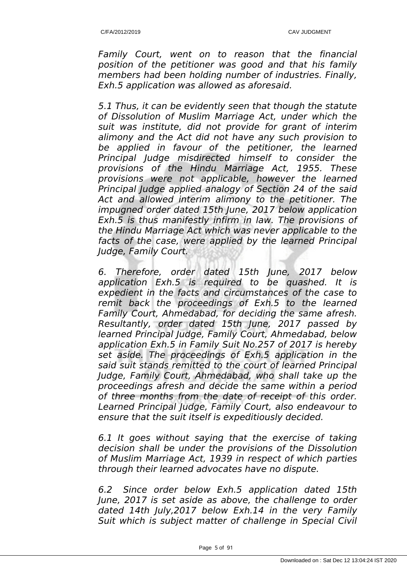Family Court, went on to reason that the financial position of the petitioner was good and that his family members had been holding number of industries. Finally, Exh.5 application was allowed as aforesaid.

5.1 Thus, it can be evidently seen that though the statute of Dissolution of Muslim Marriage Act, under which the suit was institute, did not provide for grant of interim alimony and the Act did not have any such provision to be applied in favour of the petitioner, the learned Principal Judge misdirected himself to consider the provisions of the Hindu Marriage Act, 1955. These provisions were not applicable, however the learned Principal Judge applied analogy of Section 24 of the said Act and allowed interim alimony to the petitioner. The impugned order dated 15th June, 2017 below application Exh.5 is thus manifestly infirm in law. The provisions of the Hindu Marriage Act which was never applicable to the facts of the case, were applied by the learned Principal Judge, Family Court.

6. Therefore, order dated 15th June, 2017 below application Exh.5 is required to be quashed. It is expedient in the facts and circumstances of the case to remit back the proceedings of Exh.5 to the learned Family Court, Ahmedabad, for deciding the same afresh. Resultantly, order dated 15th June, 2017 passed by learned Principal Judge, Family Court, Ahmedabad, below application Exh.5 in Family Suit No.257 of 2017 is hereby set aside. The proceedings of Exh.5 application in the said suit stands remitted to the court of learned Principal Judge, Family Court, Ahmedabad, who shall take up the proceedings afresh and decide the same within a period of three months from the date of receipt of this order. Learned Principal Judge, Family Court, also endeavour to ensure that the suit itself is expeditiously decided.

6.1 It goes without saying that the exercise of taking decision shall be under the provisions of the Dissolution of Muslim Marriage Act, 1939 in respect of which parties through their learned advocates have no dispute.

6.2 Since order below Exh.5 application dated 15th June, 2017 is set aside as above, the challenge to order dated 14th July,2017 below Exh.14 in the very Family Suit which is subject matter of challenge in Special Civil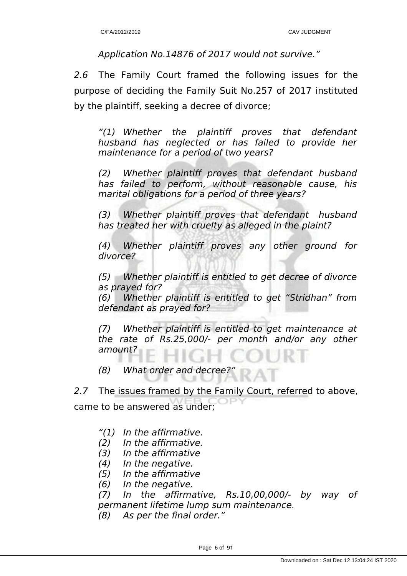Application No.14876 of 2017 would not survive."

2.6 The Family Court framed the following issues for the purpose of deciding the Family Suit No.257 of 2017 instituted by the plaintiff, seeking a decree of divorce;

"(1) Whether the plaintiff proves that defendant husband has neglected or has failed to provide her maintenance for a period of two years?

(2) Whether plaintiff proves that defendant husband has failed to perform, without reasonable cause, his marital obligations for a period of three years?

(3) Whether plaintiff proves that defendant husband has treated her with cruelty as alleged in the plaint?

(4) Whether plaintiff proves any other ground for divorce?

(5) Whether plaintiff is entitled to get decree of divorce as prayed for?

(6) Whether plaintiff is entitled to get "Stridhan" from defendant as prayed for?

(7) Whether plaintiff is entitled to get maintenance at the rate of Rs.25,000/- per month and/or any other amount?

(8) What order and decree?"

2.7 The issues framed by the Family Court, referred to above, came to be answered as under;

- "(1) In the affirmative.
- (2) In the affirmative.
- (3) In the affirmative
- (4) In the negative.
- (5) In the affirmative
- (6) In the negative.

(7) In the affirmative, Rs.10,00,000/- by way of permanent lifetime lump sum maintenance. (8) As per the final order."

Page 6 of 91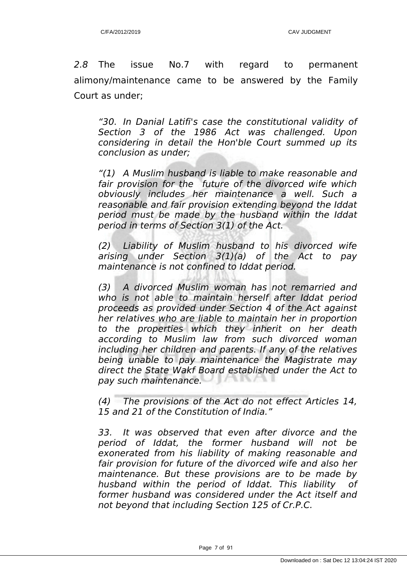2.8 The issue No.7 with regard to permanent alimony/maintenance came to be answered by the Family Court as under;

"30. In Danial Latifi's case the constitutional validity of Section 3 of the 1986 Act was challenged. Upon considering in detail the Hon'ble Court summed up its conclusion as under;

"(1) A Muslim husband is liable to make reasonable and fair provision for the future of the divorced wife which obviously includes her maintenance a well. Such a reasonable and fair provision extending beyond the Iddat period must be made by the husband within the Iddat period in terms of Section 3(1) of the Act.

(2) Liability of Muslim husband to his divorced wife arising under Section 3(1)(a) of the Act to pay maintenance is not confined to Iddat period.

(3) A divorced Muslim woman has not remarried and who is not able to maintain herself after Iddat period proceeds as provided under Section 4 of the Act against her relatives who are liable to maintain her in proportion to the properties which they inherit on her death according to Muslim law from such divorced woman including her children and parents. If any of the relatives being unable to pay maintenance the Magistrate may direct the State Wakf Board established under the Act to pay such maintenance.

(4) The provisions of the Act do not effect Articles 14, 15 and 21 of the Constitution of India."

33. It was observed that even after divorce and the period of Iddat, the former husband will not be exonerated from his liability of making reasonable and fair provision for future of the divorced wife and also her maintenance. But these provisions are to be made by husband within the period of Iddat. This liability of former husband was considered under the Act itself and not beyond that including Section 125 of Cr.P.C.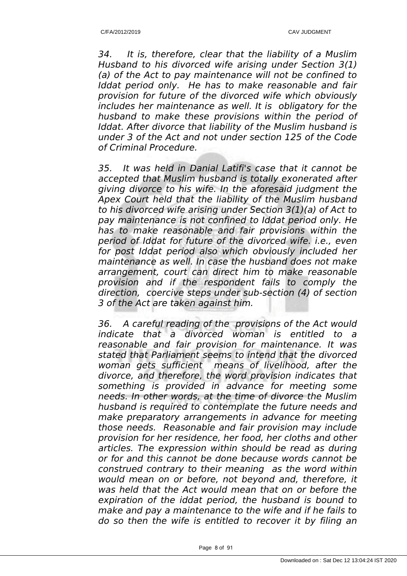34. It is, therefore, clear that the liability of a Muslim Husband to his divorced wife arising under Section 3(1) (a) of the Act to pay maintenance will not be confined to Iddat period only. He has to make reasonable and fair provision for future of the divorced wife which obviously includes her maintenance as well. It is obligatory for the husband to make these provisions within the period of Iddat. After divorce that liability of the Muslim husband is under 3 of the Act and not under section 125 of the Code of Criminal Procedure.

35. It was held in Danial Latifi's case that it cannot be accepted that Muslim husband is totally exonerated after giving divorce to his wife. In the aforesaid judgment the Apex Court held that the liability of the Muslim husband to his divorced wife arising under Section 3(1)(a) of Act to pay maintenance is not confined to Iddat period only. He has to make reasonable and fair provisions within the period of Iddat for future of the divorced wife. i.e., even for post Iddat period also which obviously included her maintenance as well. In case the husband does not make arrangement, court can direct him to make reasonable provision and if the respondent fails to comply the direction, coercive steps under sub-section (4) of section 3 of the Act are taken against him.

36. A careful reading of the provisions of the Act would indicate that a divorced woman is entitled to a reasonable and fair provision for maintenance. It was stated that Parliament seems to intend that the divorced woman gets sufficient means of livelihood, after the divorce, and therefore, the word provision indicates that something is provided in advance for meeting some needs. In other words, at the time of divorce the Muslim husband is required to contemplate the future needs and make preparatory arrangements in advance for meeting those needs. Reasonable and fair provision may include provision for her residence, her food, her cloths and other articles. The expression within should be read as during or for and this cannot be done because words cannot be construed contrary to their meaning as the word within would mean on or before, not beyond and, therefore, it was held that the Act would mean that on or before the expiration of the iddat period, the husband is bound to make and pay a maintenance to the wife and if he fails to do so then the wife is entitled to recover it by filing an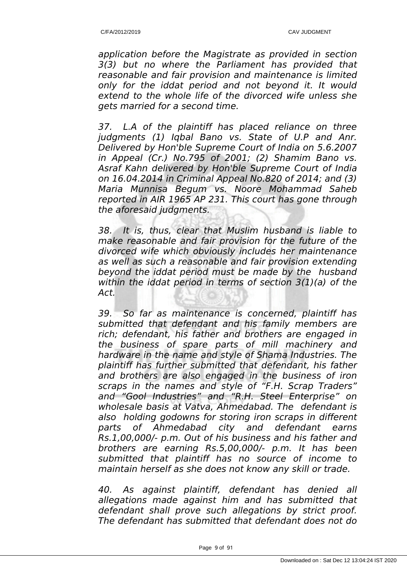application before the Magistrate as provided in section 3(3) but no where the Parliament has provided that reasonable and fair provision and maintenance is limited only for the iddat period and not beyond it. It would extend to the whole life of the divorced wife unless she gets married for a second time.

37. L.A of the plaintiff has placed reliance on three judgments (1) Iqbal Bano vs. State of U.P and Anr. Delivered by Hon'ble Supreme Court of India on 5.6.2007 in Appeal (Cr.) No.795 of 2001; (2) Shamim Bano vs. Asraf Kahn delivered by Hon'ble Supreme Court of India on 16.04.2014 in Criminal Appeal No.820 of 2014; and (3) Maria Munnisa Begum vs. Noore Mohammad Saheb reported in AIR 1965 AP 231. This court has gone through the aforesaid judgments.

38. It is, thus, clear that Muslim husband is liable to make reasonable and fair provision for the future of the divorced wife which obviously includes her maintenance as well as such a reasonable and fair provision extending beyond the iddat period must be made by the husband within the iddat period in terms of section  $3(1)(a)$  of the Act.

39. So far as maintenance is concerned, plaintiff has submitted that defendant and his family members are rich; defendant, his father and brothers are engaged in the business of spare parts of mill machinery and hardware in the name and style of Shama Industries. The plaintiff has further submitted that defendant, his father and brothers are also engaged in the business of iron scraps in the names and style of "F.H. Scrap Traders" and "Gool Industries" and "R.H. Steel Enterprise" on wholesale basis at Vatva, Ahmedabad. The defendant is also holding godowns for storing iron scraps in different parts of Ahmedabad city and defendant earns Rs.1,00,000/- p.m. Out of his business and his father and brothers are earning Rs.5,00,000/- p.m. It has been submitted that plaintiff has no source of income to maintain herself as she does not know any skill or trade.

40. As against plaintiff, defendant has denied all allegations made against him and has submitted that defendant shall prove such allegations by strict proof. The defendant has submitted that defendant does not do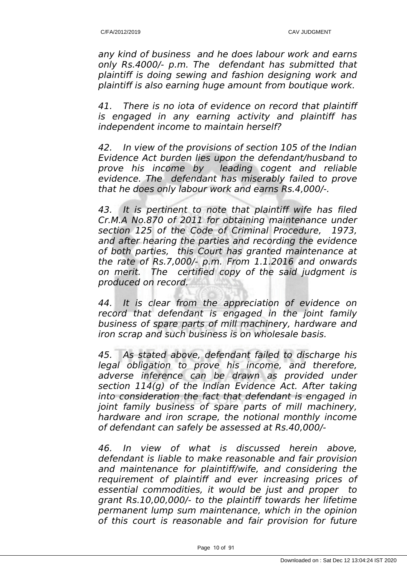any kind of business and he does labour work and earns only Rs.4000/- p.m. The defendant has submitted that plaintiff is doing sewing and fashion designing work and plaintiff is also earning huge amount from boutique work.

41. There is no iota of evidence on record that plaintiff is engaged in any earning activity and plaintiff has independent income to maintain herself?

42. In view of the provisions of section 105 of the Indian Evidence Act burden lies upon the defendant/husband to prove his income by leading cogent and reliable evidence. The defendant has miserably failed to prove that he does only labour work and earns Rs.4,000/-.

43. It is pertinent to note that plaintiff wife has filed Cr.M.A No.870 of 2011 for obtaining maintenance under section 125 of the Code of Criminal Procedure, 1973, and after hearing the parties and recording the evidence of both parties, this Court has granted maintenance at the rate of Rs.7,000/- p.m. From 1.1.2016 and onwards on merit. The certified copy of the said judgment is produced on record.

44. It is clear from the appreciation of evidence on record that defendant is engaged in the joint family business of spare parts of mill machinery, hardware and iron scrap and such business is on wholesale basis.

45. As stated above, defendant failed to discharge his legal obligation to prove his income, and therefore, adverse inference can be drawn as provided under section 114(g) of the Indian Evidence Act. After taking into consideration the fact that defendant is engaged in joint family business of spare parts of mill machinery, hardware and iron scrape, the notional monthly income of defendant can safely be assessed at Rs.40,000/-

46. In view of what is discussed herein above, defendant is liable to make reasonable and fair provision and maintenance for plaintiff/wife, and considering the requirement of plaintiff and ever increasing prices of essential commodities, it would be just and proper to grant Rs.10,00,000/- to the plaintiff towards her lifetime permanent lump sum maintenance, which in the opinion of this court is reasonable and fair provision for future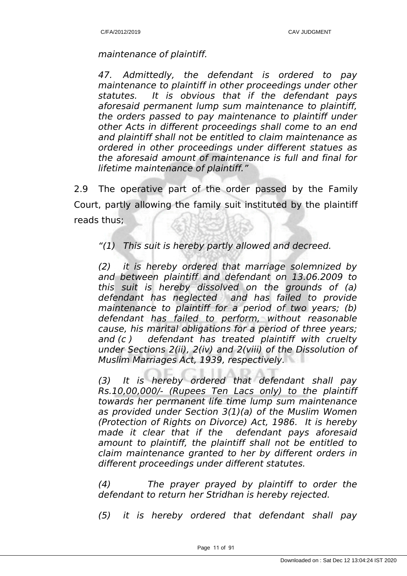maintenance of plaintiff.

47. Admittedly, the defendant is ordered to pay maintenance to plaintiff in other proceedings under other statutes. It is obvious that if the defendant pays aforesaid permanent lump sum maintenance to plaintiff, the orders passed to pay maintenance to plaintiff under other Acts in different proceedings shall come to an end and plaintiff shall not be entitled to claim maintenance as ordered in other proceedings under different statues as the aforesaid amount of maintenance is full and final for lifetime maintenance of plaintiff."

2.9 The operative part of the order passed by the Family Court, partly allowing the family suit instituted by the plaintiff reads thus;

"(1) This suit is hereby partly allowed and decreed.

(2) it is hereby ordered that marriage solemnized by and between plaintiff and defendant on 13.06.2009 to this suit is hereby dissolved on the grounds of (a) defendant has neglected and has failed to provide maintenance to plaintiff for a period of two years; (b) defendant has failed to perform, without reasonable cause, his marital obligations for a period of three years; and (c) defendant has treated plaintiff with cruelty under Sections 2(ii), 2(iv) and 2(viii) of the Dissolution of Muslim Marriages Act, 1939, respectively.

(3) It is hereby ordered that defendant shall pay Rs.10,00,000/- (Rupees Ten Lacs only) to the plaintiff towards her permanent life time lump sum maintenance as provided under Section 3(1)(a) of the Muslim Women (Protection of Rights on Divorce) Act, 1986. It is hereby made it clear that if the defendant pays aforesaid amount to plaintiff, the plaintiff shall not be entitled to claim maintenance granted to her by different orders in different proceedings under different statutes.

(4) The prayer prayed by plaintiff to order the defendant to return her Stridhan is hereby rejected.

(5) it is hereby ordered that defendant shall pay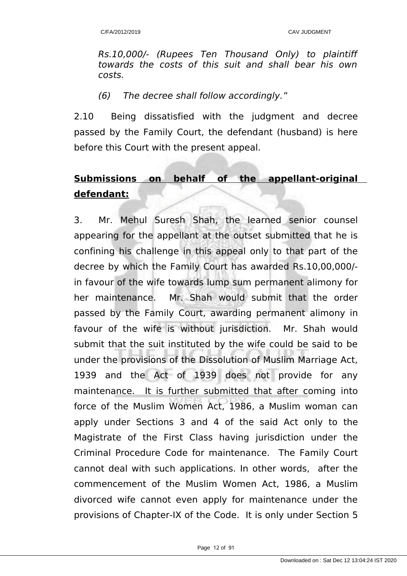Rs.10,000/- (Rupees Ten Thousand Only) to plaintiff towards the costs of this suit and shall bear his own costs.

(6) The decree shall follow accordingly."

2.10 Being dissatisfied with the judgment and decree passed by the Family Court, the defendant (husband) is here before this Court with the present appeal.

# **Submissions on behalf of the appellant-original defendant:**

3. Mr. Mehul Suresh Shah, the learned senior counsel appearing for the appellant at the outset submitted that he is confining his challenge in this appeal only to that part of the decree by which the Family Court has awarded Rs.10,00,000/ in favour of the wife towards lump sum permanent alimony for her maintenance. Mr. Shah would submit that the order passed by the Family Court, awarding permanent alimony in favour of the wife is without jurisdiction. Mr. Shah would submit that the suit instituted by the wife could be said to be under the provisions of the Dissolution of Muslim Marriage Act, 1939 and the Act of 1939 does not provide for any maintenance. It is further submitted that after coming into force of the Muslim Women Act, 1986, a Muslim woman can apply under Sections 3 and 4 of the said Act only to the Magistrate of the First Class having jurisdiction under the Criminal Procedure Code for maintenance. The Family Court cannot deal with such applications. In other words, after the commencement of the Muslim Women Act, 1986, a Muslim divorced wife cannot even apply for maintenance under the provisions of Chapter-IX of the Code. It is only under Section 5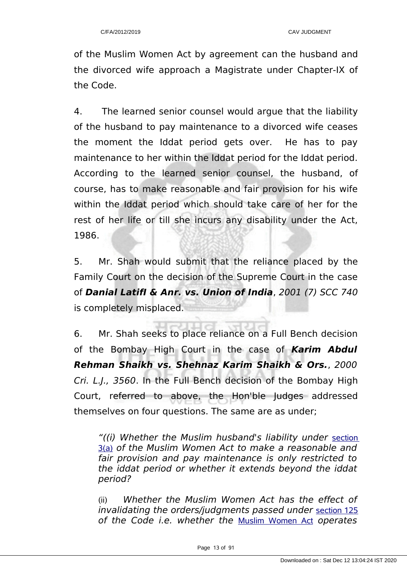of the Muslim Women Act by agreement can the husband and the divorced wife approach a Magistrate under Chapter-IX of the Code.

4. The learned senior counsel would argue that the liability of the husband to pay maintenance to a divorced wife ceases the moment the Iddat period gets over. He has to pay maintenance to her within the Iddat period for the Iddat period. According to the learned senior counsel, the husband, of course, has to make reasonable and fair provision for his wife within the Iddat period which should take care of her for the rest of her life or till she incurs any disability under the Act, 1986.

5. Mr. Shah would submit that the reliance placed by the Family Court on the decision of the Supreme Court in the case of **Danial LatifI & Anr. vs. Union of India**, 2001 (7) SCC 740 is completely misplaced.

6. Mr. Shah seeks to place reliance on a Full Bench decision of the Bombay High Court in the case of **Karim Abdul Rehman Shaikh vs. Shehnaz Karim Shaikh & Ors.**, 2000 Cri. L.J., 3560. In the Full Bench decision of the Bombay High Court, referred to above, the Hon'ble Judges addressed themselves on four questions. The same are as under;

"((i) Whether the Muslim husband's liability under section 3(a) of the Muslim Women Act to make a reasonable and fair provision and pay maintenance is only restricted to the iddat period or whether it extends beyond the iddat period?

(ii) Whether the Muslim Women Act has the effect of invalidating the orders/judgments passed under section 125 of the Code i.e. whether the Muslim Women Act operates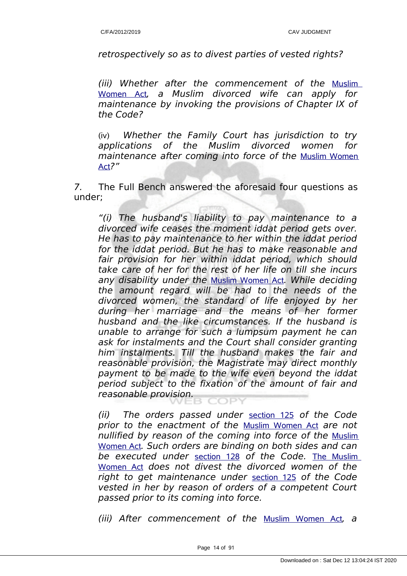retrospectively so as to divest parties of vested rights?

(iii) Whether after the commencement of the Muslim Women Act, a Muslim divorced wife can apply for maintenance by invoking the provisions of Chapter IX of the Code?

(iv) Whether the Family Court has jurisdiction to try applications of the Muslim divorced women for maintenance after coming into force of the Muslim Women Act?"

7. The Full Bench answered the aforesaid four questions as under;

"(i) The husband's liability to pay maintenance to a divorced wife ceases the moment iddat period gets over. He has to pay maintenance to her within the iddat period for the iddat period. But he has to make reasonable and fair provision for her within iddat period, which should take care of her for the rest of her life on till she incurs any disability under the Muslim Women Act. While deciding the amount regard will be had to the needs of the divorced women, the standard of life enjoyed by her during her marriage and the means of her former husband and the like circumstances. If the husband is unable to arrange for such a lumpsum payment he can ask for instalments and the Court shall consider granting him instalments. Till the husband makes the fair and reasonable provision, the Magistrate may direct monthly payment to be made to the wife even beyond the iddat period subject to the fixation of the amount of fair and reasonable provision.

(ii) The orders passed under section 125 of the Code prior to the enactment of the Muslim Women Act are not nullified by reason of the coming into force of the Muslim Women Act. Such orders are binding on both sides and can be executed under section 128 of the Code. The Muslim Women Act does not divest the divorced women of the right to get maintenance under section 125 of the Code vested in her by reason of orders of a competent Court passed prior to its coming into force.

(iii) After commencement of the Muslim Women Act, a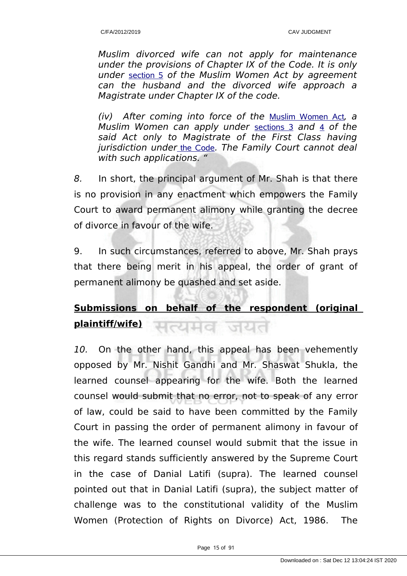Muslim divorced wife can not apply for maintenance under the provisions of Chapter IX of the Code. It is only under section 5 of the Muslim Women Act by agreement can the husband and the divorced wife approach a Magistrate under Chapter IX of the code.

(iv) After coming into force of the Muslim Women Act, a Muslim Women can apply under sections  $3$  and  $4$  of the said Act only to Magistrate of the First Class having jurisdiction under the Code. The Family Court cannot deal with such applications. "

8. In short, the principal argument of Mr. Shah is that there is no provision in any enactment which empowers the Family Court to award permanent alimony while granting the decree of divorce in favour of the wife.

9. In such circumstances, referred to above, Mr. Shah prays that there being merit in his appeal, the order of grant of permanent alimony be quashed and set aside.

### **Submissions on behalf of the respondent (original plaintiff/wife)** जयत

10. On the other hand, this appeal has been vehemently opposed by Mr. Nishit Gandhi and Mr. Shaswat Shukla, the learned counsel appearing for the wife. Both the learned counsel would submit that no error, not to speak of any error of law, could be said to have been committed by the Family Court in passing the order of permanent alimony in favour of the wife. The learned counsel would submit that the issue in this regard stands sufficiently answered by the Supreme Court in the case of Danial Latifi (supra). The learned counsel pointed out that in Danial Latifi (supra), the subject matter of challenge was to the constitutional validity of the Muslim Women (Protection of Rights on Divorce) Act, 1986. The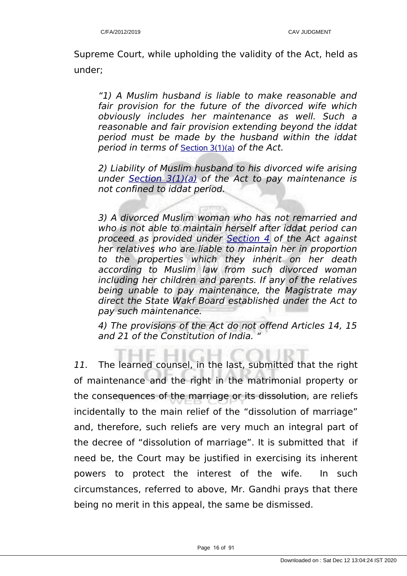Supreme Court, while upholding the validity of the Act, held as under;

"1) A Muslim husband is liable to make reasonable and fair provision for the future of the divorced wife which obviously includes her maintenance as well. Such a reasonable and fair provision extending beyond the iddat period must be made by the husband within the iddat period in terms of Section 3(1)(a) of the Act.

2) Liability of Muslim husband to his divorced wife arising under Section  $3(1)(a)$  of the Act to pay maintenance is not confined to iddat period.

3) A divorced Muslim woman who has not remarried and who is not able to maintain herself after iddat period can proceed as provided under Section 4 of the Act against her relatives who are liable to maintain her in proportion to the properties which they inherit on her death according to Muslim law from such divorced woman including her children and parents. If any of the relatives being unable to pay maintenance, the Magistrate may direct the State Wakf Board established under the Act to pay such maintenance.

4) The provisions of the Act do not offend Articles 14, 15 and 21 of the Constitution of India. "

11. The learned counsel, in the last, submitted that the right of maintenance and the right in the matrimonial property or the consequences of the marriage or its dissolution, are reliefs incidentally to the main relief of the "dissolution of marriage" and, therefore, such reliefs are very much an integral part of the decree of "dissolution of marriage". It is submitted that if need be, the Court may be justified in exercising its inherent powers to protect the interest of the wife. In such circumstances, referred to above, Mr. Gandhi prays that there being no merit in this appeal, the same be dismissed.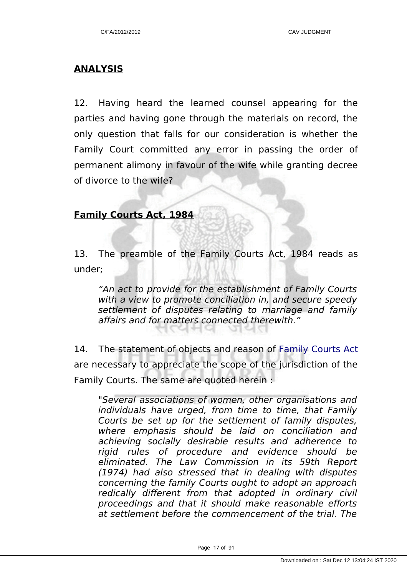# **ANALYSIS**

12. Having heard the learned counsel appearing for the parties and having gone through the materials on record, the only question that falls for our consideration is whether the Family Court committed any error in passing the order of permanent alimony in favour of the wife while granting decree of divorce to the wife?

# **Family Courts Act, 1984**

13. The preamble of the Family Courts Act, 1984 reads as under;

"An act to provide for the establishment of Family Courts with a view to promote conciliation in, and secure speedy settlement of disputes relating to marriage and family affairs and for matters connected therewith."

14. The statement of objects and reason of Family Courts Act are necessary to appreciate the scope of the jurisdiction of the Family Courts. The same are quoted herein :

"Several associations of women, other organisations and individuals have urged, from time to time, that Family Courts be set up for the settlement of family disputes, where emphasis should be laid on conciliation and achieving socially desirable results and adherence to rigid rules of procedure and evidence should be eliminated. The Law Commission in its 59th Report (1974) had also stressed that in dealing with disputes concerning the family Courts ought to adopt an approach redically different from that adopted in ordinary civil proceedings and that it should make reasonable efforts at settlement before the commencement of the trial. The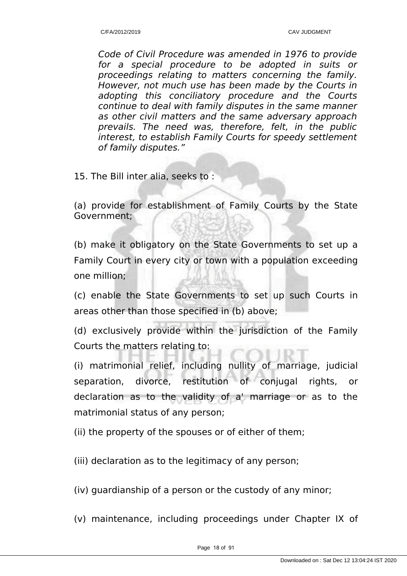Code of Civil Procedure was amended in 1976 to provide for a special procedure to be adopted in suits or proceedings relating to matters concerning the family. However, not much use has been made by the Courts in adopting this conciliatory procedure and the Courts continue to deal with family disputes in the same manner as other civil matters and the same adversary approach prevails. The need was, therefore, felt, in the public interest, to establish Family Courts for speedy settlement of family disputes."

15. The Bill inter alia, seeks to :

(a) provide for establishment of Family Courts by the State Government;

(b) make it obligatory on the State Governments to set up a Family Court in every city or town with a population exceeding one million;

(c) enable the State Governments to set up such Courts in areas other than those specified in (b) above;

(d) exclusively provide within the jurisdiction of the Family Courts the matters relating to:

(i) matrimonial relief, including nullity of marriage, judicial separation, divorce, restitution of conjugal rights, or declaration as to the validity of a' marriage or as to the matrimonial status of any person;

(ii) the property of the spouses or of either of them;

(iii) declaration as to the legitimacy of any person;

(iv) guardianship of a person or the custody of any minor;

(v) maintenance, including proceedings under Chapter IX of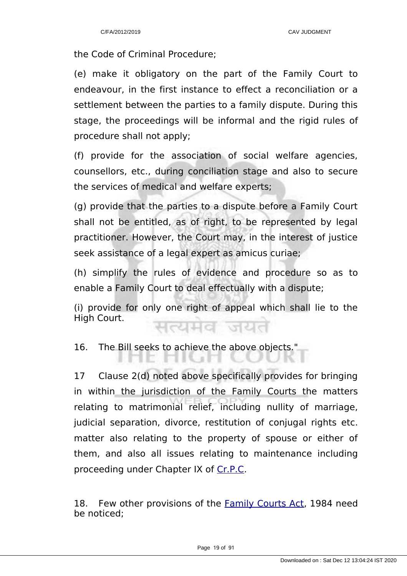the Code of Criminal Procedure;

(e) make it obligatory on the part of the Family Court to endeavour, in the first instance to effect a reconciliation or a settlement between the parties to a family dispute. During this stage, the proceedings will be informal and the rigid rules of procedure shall not apply;

(f) provide for the association of social welfare agencies, counsellors, etc., during conciliation stage and also to secure the services of medical and welfare experts;

(g) provide that the parties to a dispute before a Family Court shall not be entitled, as of right, to be represented by legal practitioner. However, the Court may, in the interest of justice seek assistance of a legal expert as amicus curiae;

(h) simplify the rules of evidence and procedure so as to enable a Family Court to deal effectually with a dispute;

(i) provide for only one right of appeal which shall lie to the High Court. थमट जय

16. The Bill seeks to achieve the above objects."

17 Clause 2(d) noted above specifically provides for bringing in within the jurisdiction of the Family Courts the matters relating to matrimonial relief, including nullity of marriage, judicial separation, divorce, restitution of conjugal rights etc. matter also relating to the property of spouse or either of them, and also all issues relating to maintenance including proceeding under Chapter IX of Cr.P.C.

18. Few other provisions of the Family Courts Act, 1984 need be noticed;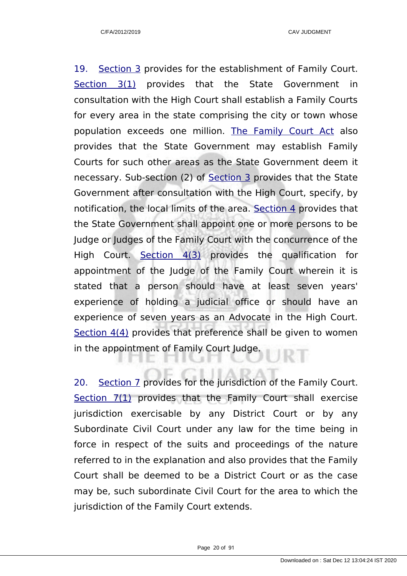19. Section 3 provides for the establishment of Family Court. Section 3(1) provides that the State Government in consultation with the High Court shall establish a Family Courts for every area in the state comprising the city or town whose population exceeds one million. The Family Court Act also provides that the State Government may establish Family Courts for such other areas as the State Government deem it necessary. Sub-section (2) of Section 3 provides that the State Government after consultation with the High Court, specify, by notification, the local limits of the area. Section 4 provides that the State Government shall appoint one or more persons to be Judge or Judges of the Family Court with the concurrence of the High Court. Section 4(3) provides the qualification for appointment of the Judge of the Family Court wherein it is stated that a person should have at least seven years' experience of holding a judicial office or should have an experience of seven years as an Advocate in the High Court. Section 4(4) provides that preference shall be given to women in the appointment of Family Court Judge.

20. Section 7 provides for the jurisdiction of the Family Court. Section 7(1) provides that the Family Court shall exercise jurisdiction exercisable by any District Court or by any Subordinate Civil Court under any law for the time being in force in respect of the suits and proceedings of the nature referred to in the explanation and also provides that the Family Court shall be deemed to be a District Court or as the case may be, such subordinate Civil Court for the area to which the jurisdiction of the Family Court extends.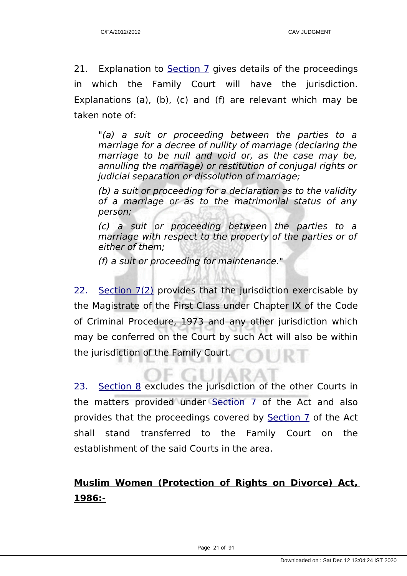21. Explanation to Section 7 gives details of the proceedings in which the Family Court will have the jurisdiction. Explanations (a), (b), (c) and (f) are relevant which may be taken note of:

"(a) a suit or proceeding between the parties to a marriage for a decree of nullity of marriage (declaring the marriage to be null and void or, as the case may be, annulling the marriage) or restitution of conjugal rights or judicial separation or dissolution of marriage;

(b) a suit or proceeding for a declaration as to the validity of a marriage or as to the matrimonial status of any person;

(c) a suit or proceeding between the parties to a marriage with respect to the property of the parties or of either of them;

(f) a suit or proceeding for maintenance."

22. Section 7(2) provides that the jurisdiction exercisable by the Magistrate of the First Class under Chapter IX of the Code of Criminal Procedure, 1973 and any other jurisdiction which may be conferred on the Court by such Act will also be within the jurisdiction of the Family Court.

 $F$  GUIARA 23. Section 8 excludes the jurisdiction of the other Courts in the matters provided under Section 7 of the Act and also provides that the proceedings covered by Section 7 of the Act shall stand transferred to the Family Court on the establishment of the said Courts in the area.

# **Muslim Women (Protection of Rights on Divorce) Act, 1986:-**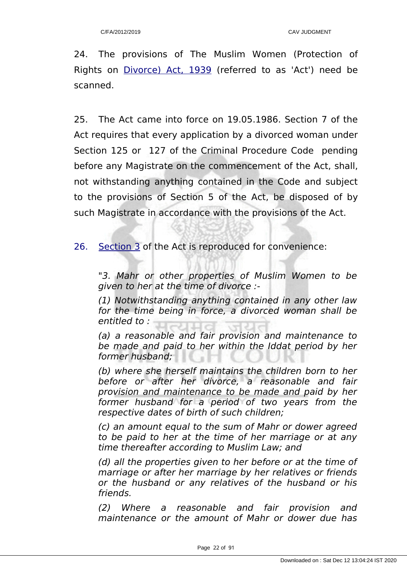24. The provisions of The Muslim Women (Protection of Rights on Divorce) Act, 1939 (referred to as 'Act') need be scanned.

25. The Act came into force on 19.05.1986. Section 7 of the Act requires that every application by a divorced woman under Section 125 or 127 of the Criminal Procedure Code pending before any Magistrate on the commencement of the Act, shall, not withstanding anything contained in the Code and subject to the provisions of Section 5 of the Act, be disposed of by such Magistrate in accordance with the provisions of the Act.

26. Section 3 of the Act is reproduced for convenience:

"3. Mahr or other properties of Muslim Women to be given to her at the time of divorce :-

(1) Notwithstanding anything contained in any other law for the time being in force, a divorced woman shall be entitled to :

(a) a reasonable and fair provision and maintenance to be made and paid to her within the Iddat period by her former husband;

(b) where she herself maintains the children born to her before or after her divorce, a reasonable and fair provision and maintenance to be made and paid by her former husband for a period of two years from the respective dates of birth of such children;

(c) an amount equal to the sum of Mahr or dower agreed to be paid to her at the time of her marriage or at any time thereafter according to Muslim Law; and

(d) all the properties given to her before or at the time of marriage or after her marriage by her relatives or friends or the husband or any relatives of the husband or his friends.

(2) Where a reasonable and fair provision and maintenance or the amount of Mahr or dower due has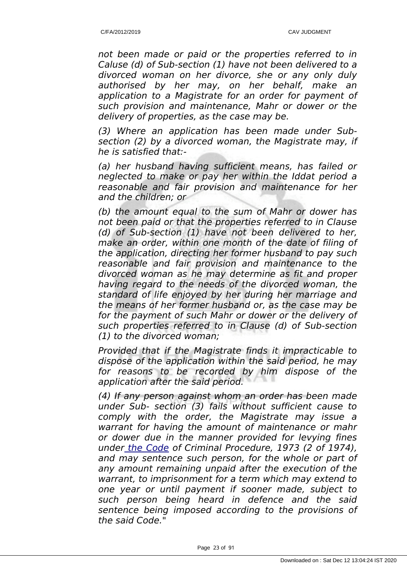not been made or paid or the properties referred to in Caluse (d) of Sub-section (1) have not been delivered to a divorced woman on her divorce, she or any only duly authorised by her may, on her behalf, make an application to a Magistrate for an order for payment of such provision and maintenance, Mahr or dower or the delivery of properties, as the case may be.

(3) Where an application has been made under Subsection (2) by a divorced woman, the Magistrate may, if he is satisfied that:-

(a) her husband having sufficient means, has failed or neglected to make or pay her within the Iddat period a reasonable and fair provision and maintenance for her and the children; or

(b) the amount equal to the sum of Mahr or dower has not been paid or that the properties referred to in Clause (d) of Sub-section (1) have not been delivered to her, make an order, within one month of the date of filing of the application, directing her former husband to pay such reasonable and fair provision and maintenance to the divorced woman as he may determine as fit and proper having regard to the needs of the divorced woman, the standard of life enjoyed by her during her marriage and the means of her former husband or, as the case may be for the payment of such Mahr or dower or the delivery of such properties referred to in Clause (d) of Sub-section (1) to the divorced woman;

Provided that if the Magistrate finds it impracticable to dispose of the application within the said period, he may for reasons to be recorded by him dispose of the application after the said period.

(4) If any person against whom an order has been made under Sub- section (3) fails without sufficient cause to comply with the order, the Magistrate may issue a warrant for having the amount of maintenance or mahr or dower due in the manner provided for levying fines under the Code of Criminal Procedure, 1973 (2 of 1974), and may sentence such person, for the whole or part of any amount remaining unpaid after the execution of the warrant, to imprisonment for a term which may extend to one year or until payment if sooner made, subject to such person being heard in defence and the said sentence being imposed according to the provisions of the said Code."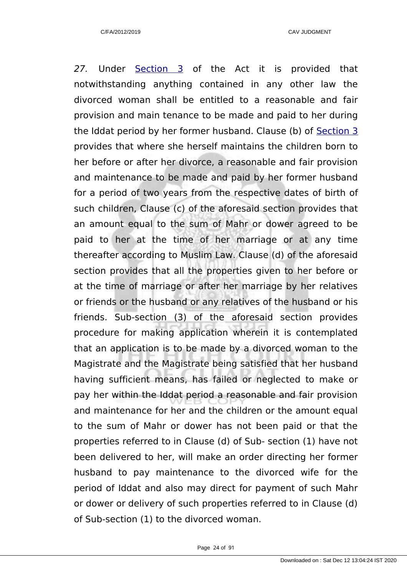27. Under **Section 3** of the Act it is provided that notwithstanding anything contained in any other law the divorced woman shall be entitled to a reasonable and fair provision and main tenance to be made and paid to her during the Iddat period by her former husband. Clause (b) of Section 3 provides that where she herself maintains the children born to her before or after her divorce, a reasonable and fair provision and maintenance to be made and paid by her former husband for a period of two years from the respective dates of birth of such children, Clause (c) of the aforesaid section provides that an amount equal to the sum of Mahr or dower agreed to be paid to her at the time of her marriage or at any time thereafter according to Muslim Law. Clause (d) of the aforesaid section provides that all the properties given to her before or at the time of marriage or after her marriage by her relatives or friends or the husband or any relatives of the husband or his friends. Sub-section (3) of the aforesaid section provides procedure for making application wherein it is contemplated that an application is to be made by a divorced woman to the Magistrate and the Magistrate being satisfied that her husband having sufficient means, has failed or neglected to make or pay her within the Iddat period a reasonable and fair provision and maintenance for her and the children or the amount equal to the sum of Mahr or dower has not been paid or that the properties referred to in Clause (d) of Sub- section (1) have not been delivered to her, will make an order directing her former husband to pay maintenance to the divorced wife for the period of Iddat and also may direct for payment of such Mahr or dower or delivery of such properties referred to in Clause (d) of Sub-section (1) to the divorced woman.

Page 24 of 91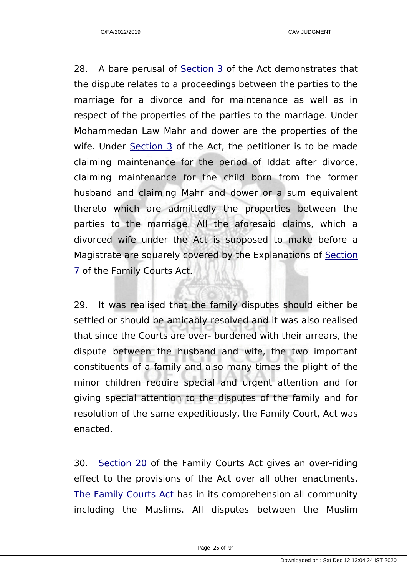28. A bare perusal of Section 3 of the Act demonstrates that the dispute relates to a proceedings between the parties to the marriage for a divorce and for maintenance as well as in respect of the properties of the parties to the marriage. Under Mohammedan Law Mahr and dower are the properties of the wife. Under Section 3 of the Act, the petitioner is to be made claiming maintenance for the period of Iddat after divorce, claiming maintenance for the child born from the former husband and claiming Mahr and dower or a sum equivalent thereto which are admittedly the properties between the parties to the marriage. All the aforesaid claims, which a divorced wife under the Act is supposed to make before a Magistrate are squarely covered by the Explanations of Section 7 of the Family Courts Act.

29. It was realised that the family disputes should either be settled or should be amicably resolved and it was also realised that since the Courts are over- burdened with their arrears, the dispute between the husband and wife, the two important constituents of a family and also many times the plight of the minor children require special and urgent attention and for giving special attention to the disputes of the family and for resolution of the same expeditiously, the Family Court, Act was enacted.

30. Section 20 of the Family Courts Act gives an over-riding effect to the provisions of the Act over all other enactments. The Family Courts Act has in its comprehension all community including the Muslims. All disputes between the Muslim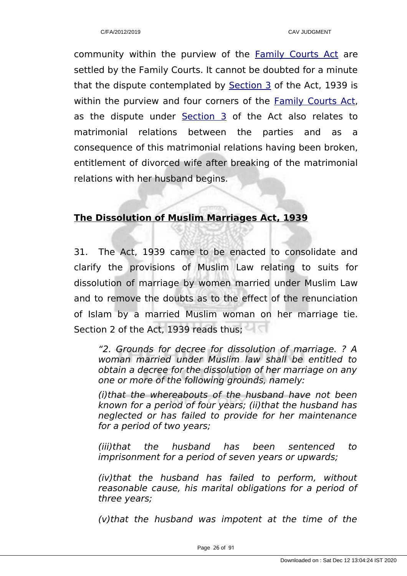community within the purview of the **Family Courts Act** are settled by the Family Courts. It cannot be doubted for a minute that the dispute contemplated by **Section 3** of the Act, 1939 is within the purview and four corners of the Family Courts Act, as the dispute under Section 3 of the Act also relates to matrimonial relations between the parties and as a consequence of this matrimonial relations having been broken, entitlement of divorced wife after breaking of the matrimonial relations with her husband begins.

### **The Dissolution of Muslim Marriages Act, 1939**

31. The Act, 1939 came to be enacted to consolidate and clarify the provisions of Muslim Law relating to suits for dissolution of marriage by women married under Muslim Law and to remove the doubts as to the effect of the renunciation of Islam by a married Muslim woman on her marriage tie. Section 2 of the Act, 1939 reads thus;

"2. Grounds for decree for dissolution of marriage. ? A woman married under Muslim law shall be entitled to obtain a decree for the dissolution of her marriage on any one or more of the following grounds, namely:

(i)that the whereabouts of the husband have not been known for a period of four years; (ii)that the husband has neglected or has failed to provide for her maintenance for a period of two years;

(iii)that the husband has been sentenced to imprisonment for a period of seven years or upwards;

(iv)that the husband has failed to perform, without reasonable cause, his marital obligations for a period of three years;

(v)that the husband was impotent at the time of the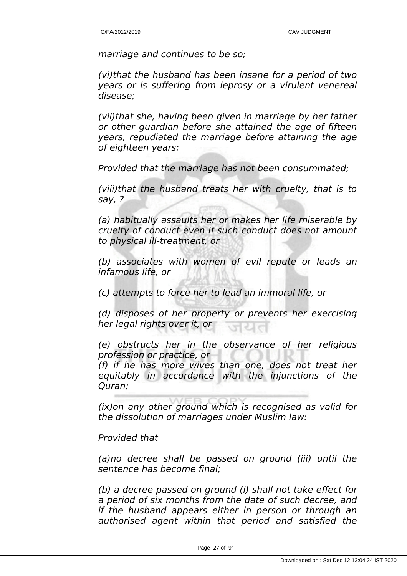marriage and continues to be so;

(vi)that the husband has been insane for a period of two years or is suffering from leprosy or a virulent venereal disease;

(vii)that she, having been given in marriage by her father or other guardian before she attained the age of fifteen years, repudiated the marriage before attaining the age of eighteen years:

Provided that the marriage has not been consummated;

(viii)that the husband treats her with cruelty, that is to say, ?

(a) habitually assaults her or makes her life miserable by cruelty of conduct even if such conduct does not amount to physical ill-treatment, or

(b) associates with women of evil repute or leads an infamous life, or

(c) attempts to force her to lead an immoral life, or

(d) disposes of her property or prevents her exercising her legal rights over it, or

(e) obstructs her in the observance of her religious profession or practice, or

(f) if he has more wives than one, does not treat her equitably in accordance with the injunctions of the Quran;

(ix)on any other ground which is recognised as valid for the dissolution of marriages under Muslim law:

Provided that

(a)no decree shall be passed on ground (iii) until the sentence has become final;

(b) a decree passed on ground (i) shall not take effect for a period of six months from the date of such decree, and if the husband appears either in person or through an authorised agent within that period and satisfied the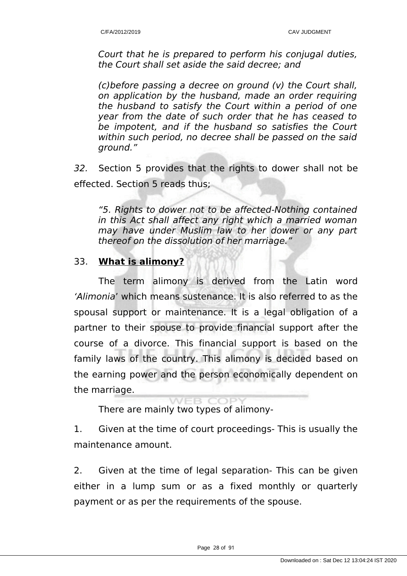Court that he is prepared to perform his conjugal duties, the Court shall set aside the said decree; and

(c)before passing a decree on ground (v) the Court shall, on application by the husband, made an order requiring the husband to satisfy the Court within a period of one year from the date of such order that he has ceased to be impotent, and if the husband so satisfies the Court within such period, no decree shall be passed on the said ground."

32. Section 5 provides that the rights to dower shall not be effected. Section 5 reads thus;

"5. Rights to dower not to be affected-Nothing contained in this Act shall affect any right which a married woman may have under Muslim law to her dower or any part thereof on the dissolution of her marriage."

### 33. **What is alimony?**

The term alimony is derived from the Latin word 'Alimonia' which means sustenance. It is also referred to as the spousal support or maintenance. It is a legal obligation of a partner to their spouse to provide financial support after the course of a divorce. This financial support is based on the family laws of the country. This alimony is decided based on the earning power and the person economically dependent on the marriage.

There are mainly two types of alimony-

1. Given at the time of court proceedings- This is usually the maintenance amount.

**WEB COPY** 

2. Given at the time of legal separation- This can be given either in a lump sum or as a fixed monthly or quarterly payment or as per the requirements of the spouse.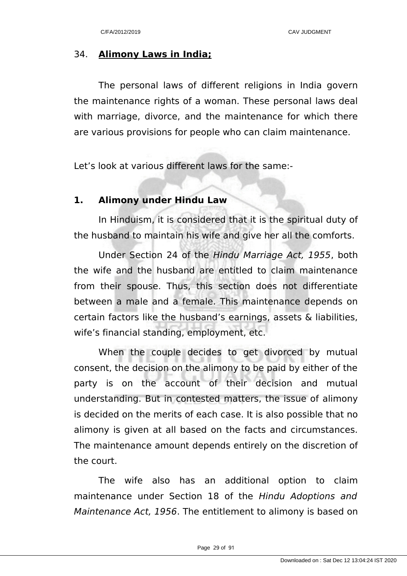### 34. **Alimony Laws in India;**

The personal laws of different religions in India govern the maintenance rights of a woman. These personal laws deal with marriage, divorce, and the maintenance for which there are various provisions for people who can claim maintenance.

Let's look at various different laws for the same:-

# **1. Alimony under Hindu Law**

In Hinduism, it is considered that it is the spiritual duty of the husband to maintain his wife and give her all the comforts.

Under Section 24 of the Hindu Marriage Act, 1955, both the wife and the husband are entitled to claim maintenance from their spouse. Thus, this section does not differentiate between a male and a female. This maintenance depends on certain factors like the husband's earnings, assets & liabilities, wife's financial standing, employment, etc.

When the couple decides to get divorced by mutual consent, the decision on the alimony to be paid by either of the party is on the account of their decision and mutual understanding. But in contested matters, the issue of alimony is decided on the merits of each case. It is also possible that no alimony is given at all based on the facts and circumstances. The maintenance amount depends entirely on the discretion of the court.

The wife also has an additional option to claim maintenance under Section 18 of the Hindu Adoptions and Maintenance Act, 1956. The entitlement to alimony is based on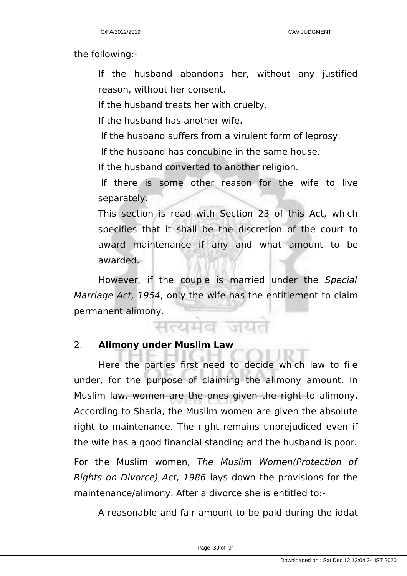the following:-

If the husband abandons her, without any justified reason, without her consent.

If the husband treats her with cruelty.

If the husband has another wife.

If the husband suffers from a virulent form of leprosy.

If the husband has concubine in the same house.

If the husband converted to another religion.

If there is some other reason for the wife to live separately.

This section is read with Section 23 of this Act, which specifies that it shall be the discretion of the court to award maintenance if any and what amount to be awarded.

However, if the couple is married under the Special Marriage Act, 1954, only the wife has the entitlement to claim permanent alimony.

सत्यमाव जयत

# 2. **Alimony under Muslim Law**

Here the parties first need to decide which law to file under, for the purpose of claiming the alimony amount. In Muslim law, women are the ones given the right to alimony. According to Sharia, the Muslim women are given the absolute right to maintenance. The right remains unprejudiced even if the wife has a good financial standing and the husband is poor.

For the Muslim women, The Muslim Women(Protection of Rights on Divorce) Act, 1986 lays down the provisions for the maintenance/alimony. After a divorce she is entitled to:-

A reasonable and fair amount to be paid during the iddat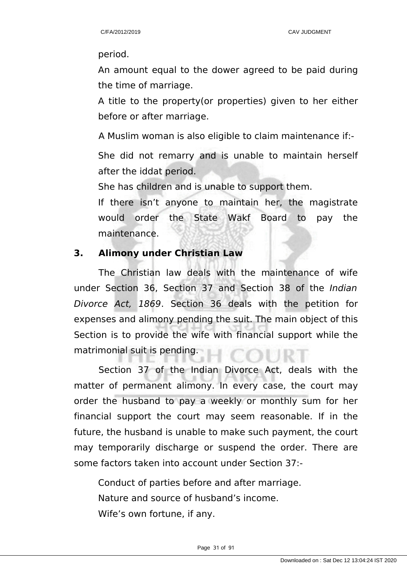period.

An amount equal to the dower agreed to be paid during the time of marriage.

A title to the property(or properties) given to her either before or after marriage.

A Muslim woman is also eligible to claim maintenance if:-

She did not remarry and is unable to maintain herself after the iddat period.

She has children and is unable to support them.

If there isn't anyone to maintain her, the magistrate would order the State Wakf Board to pay the maintenance.

### **3. Alimony under Christian Law**

The Christian law deals with the maintenance of wife under Section 36, Section 37 and Section 38 of the Indian Divorce Act, 1869. Section 36 deals with the petition for expenses and alimony pending the suit. The main object of this Section is to provide the wife with financial support while the matrimonial suit is pending.

Section 37 of the Indian Divorce Act, deals with the matter of permanent alimony. In every case, the court may order the husband to pay a weekly or monthly sum for her financial support the court may seem reasonable. If in the future, the husband is unable to make such payment, the court may temporarily discharge or suspend the order. There are some factors taken into account under Section 37:-

Conduct of parties before and after marriage. Nature and source of husband's income. Wife's own fortune, if any.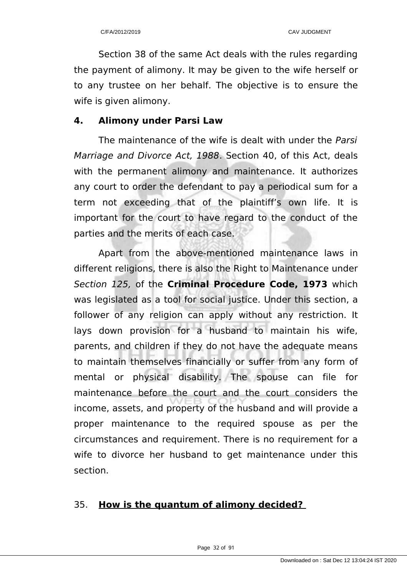Section 38 of the same Act deals with the rules regarding the payment of alimony. It may be given to the wife herself or to any trustee on her behalf. The objective is to ensure the wife is given alimony.

# **4. Alimony under Parsi Law**

The maintenance of the wife is dealt with under the Parsi Marriage and Divorce Act, 1988. Section 40, of this Act, deals with the permanent alimony and maintenance. It authorizes any court to order the defendant to pay a periodical sum for a term not exceeding that of the plaintiff's own life. It is important for the court to have regard to the conduct of the parties and the merits of each case.

Apart from the above-mentioned maintenance laws in different religions, there is also the Right to Maintenance under Section 125, of the **Criminal Procedure Code, 1973** which was legislated as a tool for social justice. Under this section, a follower of any religion can apply without any restriction. It lays down provision for a husband to maintain his wife, parents, and children if they do not have the adequate means to maintain themselves financially or suffer from any form of mental or physical disability. The spouse can file for maintenance before the court and the court considers the income, assets, and property of the husband and will provide a proper maintenance to the required spouse as per the circumstances and requirement. There is no requirement for a wife to divorce her husband to get maintenance under this section.

# 35. **How is the quantum of alimony decided?**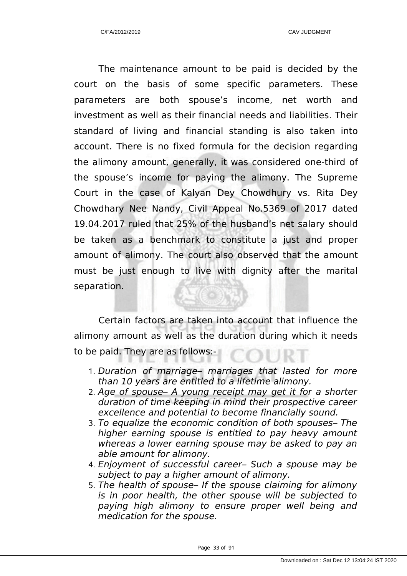The maintenance amount to be paid is decided by the court on the basis of some specific parameters. These parameters are both spouse's income, net worth and investment as well as their financial needs and liabilities. Their standard of living and financial standing is also taken into account. There is no fixed formula for the decision regarding the alimony amount, generally, it was considered one-third of the spouse's income for paying the alimony. The Supreme Court in the case of Kalyan Dey Chowdhury vs. Rita Dey Chowdhary Nee Nandy, Civil Appeal No.5369 of 2017 dated 19.04.2017 ruled that 25% of the husband's net salary should be taken as a benchmark to constitute a just and proper amount of alimony. The court also observed that the amount must be just enough to live with dignity after the marital separation.

Certain factors are taken into account that influence the alimony amount as well as the duration during which it needs to be paid. They are as follows:-

- 1. Duration of marriage– marriages that lasted for more than 10 years are entitled to a lifetime alimony.
- 2. Age of spouse– A young receipt may get it for a shorter duration of time keeping in mind their prospective career excellence and potential to become financially sound.
- 3. To equalize the economic condition of both spouses– The higher earning spouse is entitled to pay heavy amount whereas a lower earning spouse may be asked to pay an able amount for alimony.
- 4. Enjoyment of successful career– Such a spouse may be subject to pay a higher amount of alimony.
- 5. The health of spouse– If the spouse claiming for alimony is in poor health, the other spouse will be subjected to paying high alimony to ensure proper well being and medication for the spouse.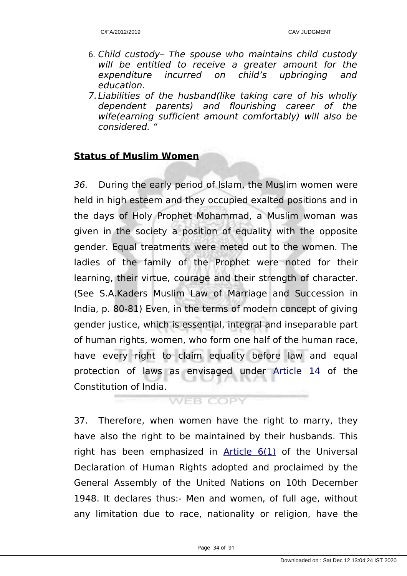- 6. Child custody– The spouse who maintains child custody will be entitled to receive a greater amount for the expenditure incurred on child's upbringing and education.
- 7.Liabilities of the husband(like taking care of his wholly dependent parents) and flourishing career of the wife(earning sufficient amount comfortably) will also be considered. "

### **Status of Muslim Women**

36. During the early period of Islam, the Muslim women were held in high esteem and they occupied exalted positions and in the days of Holy Prophet Mohammad, a Muslim woman was given in the society a position of equality with the opposite gender. Equal treatments were meted out to the women. The ladies of the family of the Prophet were noted for their learning, their virtue, courage and their strength of character. (See S.A.Kaders Muslim Law of Marriage and Succession in India, p. 80-81) Even, in the terms of modern concept of giving gender justice, which is essential, integral and inseparable part of human rights, women, who form one half of the human race, have every right to claim equality before law and equal protection of laws as envisaged under Article 14 of the Constitution of India.

**WEB COPY** 

37. Therefore, when women have the right to marry, they have also the right to be maintained by their husbands. This right has been emphasized in Article  $6(1)$  of the Universal Declaration of Human Rights adopted and proclaimed by the General Assembly of the United Nations on 10th December 1948. It declares thus:- Men and women, of full age, without any limitation due to race, nationality or religion, have the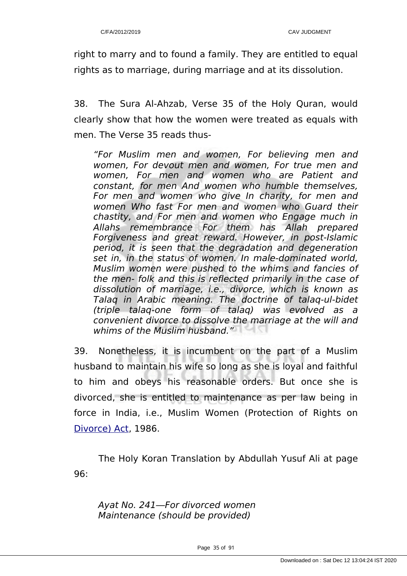right to marry and to found a family. They are entitled to equal rights as to marriage, during marriage and at its dissolution.

38. The Sura Al-Ahzab, Verse 35 of the Holy Quran, would clearly show that how the women were treated as equals with men. The Verse 35 reads thus-

"For Muslim men and women, For believing men and women, For devout men and women, For true men and women, For men and women who are Patient and constant, for men And women who humble themselves, For men and women who give In charity, for men and women Who fast For men and women who Guard their chastity, and For men and women who Engage much in Allahs remembrance For them has Allah prepared Forgiveness and great reward. However, in post-Islamic period, it is seen that the degradation and degeneration set in, in the status of women. In male-dominated world, Muslim women were pushed to the whims and fancies of the men- folk and this is reflected primarily in the case of dissolution of marriage, i.e., divorce, which is known as Talaq in Arabic meaning. The doctrine of talaq-ul-bidet (triple talaq-one form of talaq) was evolved as a convenient divorce to dissolve the marriage at the will and whims of the Muslim husband."

39. Nonetheless, it is incumbent on the part of a Muslim husband to maintain his wife so long as she is loyal and faithful to him and obeys his reasonable orders. But once she is divorced, she is entitled to maintenance as per law being in force in India, i.e., Muslim Women (Protection of Rights on Divorce) Act, 1986.

The Holy Koran Translation by Abdullah Yusuf Ali at page 96:

Ayat No. 241—For divorced women Maintenance (should be provided)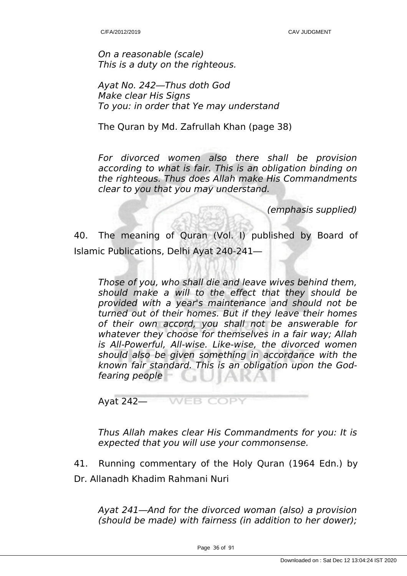On a reasonable (scale) This is a duty on the righteous.

Ayat No. 242—Thus doth God Make clear His Signs To you: in order that Ye may understand

The Quran by Md. Zafrullah Khan (page 38)

For divorced women also there shall be provision according to what is fair. This is an obligation binding on the righteous. Thus does Allah make His Commandments clear to you that you may understand.

(emphasis supplied)

40. The meaning of Quran (Vol. I) published by Board of Islamic Publications, Delhi Ayat 240-241—

Those of you, who shall die and leave wives behind them, should make a will to the effect that they should be provided with a year's maintenance and should not be turned out of their homes. But if they leave their homes of their own accord, you shall not be answerable for whatever they choose for themselves in a fair way; Allah is All-Powerful, All-wise. Like-wise, the divorced women should also be given something in accordance with the known fair standard. This is an obligation upon the Godfearing people

**WEB COPY** Ayat 242—

Thus Allah makes clear His Commandments for you: It is expected that you will use your commonsense.

41. Running commentary of the Holy Quran (1964 Edn.) by Dr. Allanadh Khadim Rahmani Nuri

Ayat 241—And for the divorced woman (also) a provision (should be made) with fairness (in addition to her dower);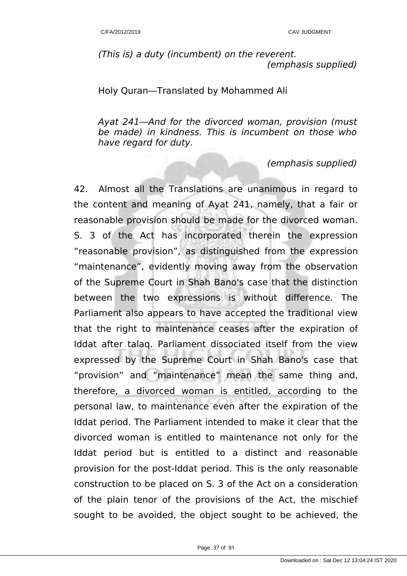(This is) a duty (incumbent) on the reverent. (emphasis supplied)

Holy Quran—Translated by Mohammed Ali

Ayat 241—And for the divorced woman, provision (must be made) in kindness. This is incumbent on those who have regard for duty.

(emphasis supplied)

42. Almost all the Translations are unanimous in regard to the content and meaning of Ayat 241, namely, that a fair or reasonable provision should be made for the divorced woman. S. 3 of the Act has incorporated therein the expression "reasonable provision", as distinguished from the expression "maintenance", evidently moving away from the observation of the Supreme Court in Shah Bano's case that the distinction between the two expressions is without difference. The Parliament also appears to have accepted the traditional view that the right to maintenance ceases after the expiration of Iddat after talaq. Parliament dissociated itself from the view expressed by the Supreme Court in Shah Bano's case that "provision" and "maintenance" mean the same thing and, therefore, a divorced woman is entitled, according to the personal law, to maintenance even after the expiration of the Iddat period. The Parliament intended to make it clear that the divorced woman is entitled to maintenance not only for the Iddat period but is entitled to a distinct and reasonable provision for the post-Iddat period. This is the only reasonable construction to be placed on S. 3 of the Act on a consideration of the plain tenor of the provisions of the Act, the mischief sought to be avoided, the object sought to be achieved, the

Page 37 of 91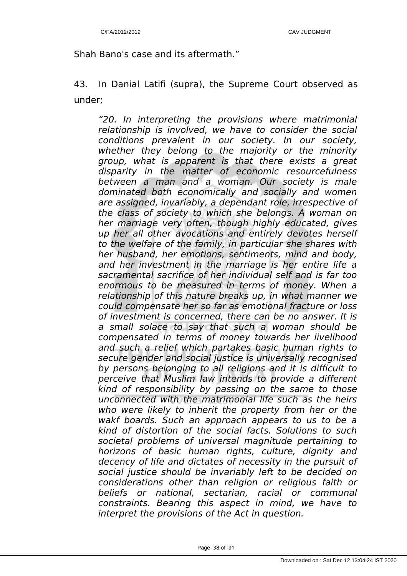Shah Bano's case and its aftermath."

43. In Danial Latifi (supra), the Supreme Court observed as under;

"20. In interpreting the provisions where matrimonial relationship is involved, we have to consider the social conditions prevalent in our society. In our society, whether they belong to the majority or the minority group, what is apparent is that there exists a great disparity in the matter of economic resourcefulness between a man and a woman. Our society is male dominated both economically and socially and women are assigned, invariably, a dependant role, irrespective of the class of society to which she belongs. A woman on her marriage very often, though highly educated, gives up her all other avocations and entirely devotes herself to the welfare of the family, in particular she shares with her husband, her emotions, sentiments, mind and body, and her investment in the marriage is her entire life a sacramental sacrifice of her individual self and is far too enormous to be measured in terms of money. When a relationship of this nature breaks up, in what manner we could compensate her so far as emotional fracture or loss of investment is concerned, there can be no answer. It is a small solace to say that such a woman should be compensated in terms of money towards her livelihood and such a relief which partakes basic human rights to secure gender and social justice is universally recognised by persons belonging to all religions and it is difficult to perceive that Muslim law intends to provide a different kind of responsibility by passing on the same to those unconnected with the matrimonial life such as the heirs who were likely to inherit the property from her or the wakf boards. Such an approach appears to us to be a kind of distortion of the social facts. Solutions to such societal problems of universal magnitude pertaining to horizons of basic human rights, culture, dignity and decency of life and dictates of necessity in the pursuit of social justice should be invariably left to be decided on considerations other than religion or religious faith or beliefs or national, sectarian, racial or communal constraints. Bearing this aspect in mind, we have to interpret the provisions of the Act in question.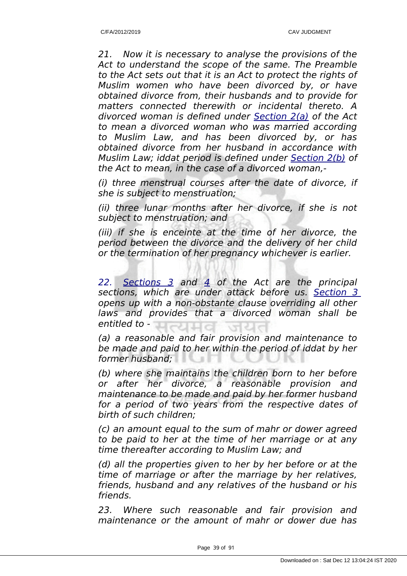21. Now it is necessary to analyse the provisions of the Act to understand the scope of the same. The Preamble to the Act sets out that it is an Act to protect the rights of Muslim women who have been divorced by, or have obtained divorce from, their husbands and to provide for matters connected therewith or incidental thereto. A divorced woman is defined under Section 2(a) of the Act to mean a divorced woman who was married according to Muslim Law, and has been divorced by, or has obtained divorce from her husband in accordance with Muslim Law; iddat period is defined under Section 2(b) of the Act to mean, in the case of a divorced woman,-

(i) three menstrual courses after the date of divorce, if she is subject to menstruation;

(ii) three lunar months after her divorce, if she is not subject to menstruation; and

(iii) if she is enceinte at the time of her divorce, the period between the divorce and the delivery of her child or the termination of her pregnancy whichever is earlier.

22. Sections 3 and 4 of the Act are the principal sections, which are under attack before us. Section 3 opens up with a non-obstante clause overriding all other laws and provides that a divorced woman shall be entitled to -

(a) a reasonable and fair provision and maintenance to be made and paid to her within the period of iddat by her former husband; OB 3

(b) where she maintains the children born to her before or after her divorce, a reasonable provision and maintenance to be made and paid by her former husband for a period of two years from the respective dates of birth of such children;

(c) an amount equal to the sum of mahr or dower agreed to be paid to her at the time of her marriage or at any time thereafter according to Muslim Law; and

(d) all the properties given to her by her before or at the time of marriage or after the marriage by her relatives, friends, husband and any relatives of the husband or his friends.

23. Where such reasonable and fair provision and maintenance or the amount of mahr or dower due has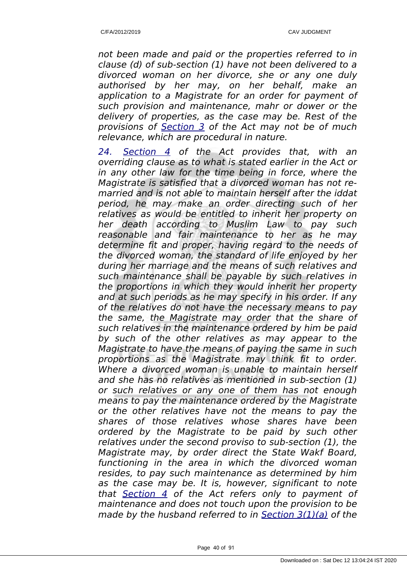not been made and paid or the properties referred to in clause (d) of sub-section (1) have not been delivered to a divorced woman on her divorce, she or any one duly authorised by her may, on her behalf, make an application to a Magistrate for an order for payment of such provision and maintenance, mahr or dower or the delivery of properties, as the case may be. Rest of the provisions of Section 3 of the Act may not be of much relevance, which are procedural in nature.

24. Section 4 of the Act provides that, with an overriding clause as to what is stated earlier in the Act or in any other law for the time being in force, where the Magistrate is satisfied that a divorced woman has not remarried and is not able to maintain herself after the iddat period, he may make an order directing such of her relatives as would be entitled to inherit her property on her death according to Muslim Law to pay such reasonable and fair maintenance to her as he may determine fit and proper, having regard to the needs of the divorced woman, the standard of life enjoyed by her during her marriage and the means of such relatives and such maintenance shall be payable by such relatives in the proportions in which they would inherit her property and at such periods as he may specify in his order. If any of the relatives do not have the necessary means to pay the same, the Magistrate may order that the share of such relatives in the maintenance ordered by him be paid by such of the other relatives as may appear to the Magistrate to have the means of paying the same in such proportions as the Magistrate may think fit to order. Where a divorced woman is unable to maintain herself and she has no relatives as mentioned in sub-section (1) or such relatives or any one of them has not enough means to pay the maintenance ordered by the Magistrate or the other relatives have not the means to pay the shares of those relatives whose shares have been ordered by the Magistrate to be paid by such other relatives under the second proviso to sub-section (1), the Magistrate may, by order direct the State Wakf Board, functioning in the area in which the divorced woman resides, to pay such maintenance as determined by him as the case may be. It is, however, significant to note that Section 4 of the Act refers only to payment of maintenance and does not touch upon the provision to be made by the husband referred to in Section 3(1)(a) of the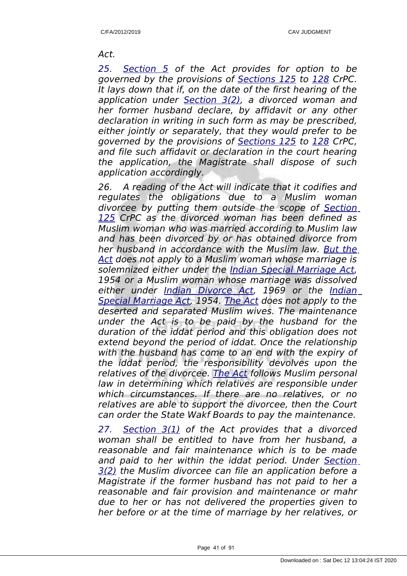## Act.

25. Section 5 of the Act provides for option to be governed by the provisions of Sections 125 to 128 CrPC. It lays down that if, on the date of the first hearing of the application under Section  $3(2)$ , a divorced woman and her former husband declare, by affidavit or any other declaration in writing in such form as may be prescribed, either jointly or separately, that they would prefer to be governed by the provisions of Sections 125 to 128 CrPC, and file such affidavit or declaration in the court hearing the application, the Magistrate shall dispose of such application accordingly.

26. A reading of the Act will indicate that it codifies and regulates the obligations due to a Muslim woman divorcee by putting them outside the scope of Section 125 CrPC as the divorced woman has been defined as Muslim woman who was married according to Muslim law and has been divorced by or has obtained divorce from her husband in accordance with the Muslim law. But the Act does not apply to a Muslim woman whose marriage is solemnized either under the Indian Special Marriage Act, 1954 or a Muslim woman whose marriage was dissolved either under Indian Divorce Act, 1969 or the Indian Special Marriage Act, 1954. The Act does not apply to the deserted and separated Muslim wives. The maintenance under the Act is to be paid by the husband for the duration of the iddat period and this obligation does not extend beyond the period of iddat. Once the relationship with the husband has come to an end with the expiry of the iddat period, the responsibility devolves upon the relatives of the divorcee. The Act follows Muslim personal law in determining which relatives are responsible under which circumstances. If there are no relatives, or no relatives are able to support the divorcee, then the Court can order the State Wakf Boards to pay the maintenance.

27. Section 3(1) of the Act provides that a divorced woman shall be entitled to have from her husband, a reasonable and fair maintenance which is to be made and paid to her within the iddat period. Under Section 3(2) the Muslim divorcee can file an application before a Magistrate if the former husband has not paid to her a reasonable and fair provision and maintenance or mahr due to her or has not delivered the properties given to her before or at the time of marriage by her relatives, or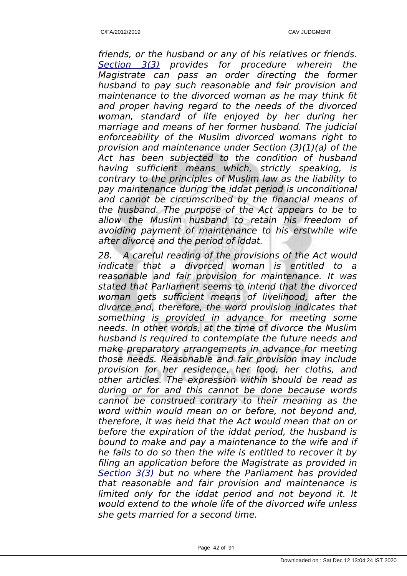friends, or the husband or any of his relatives or friends. Section 3(3) provides for procedure wherein the Magistrate can pass an order directing the former husband to pay such reasonable and fair provision and maintenance to the divorced woman as he may think fit and proper having regard to the needs of the divorced woman, standard of life enjoyed by her during her marriage and means of her former husband. The judicial enforceability of the Muslim divorced womans right to provision and maintenance under Section (3)(1)(a) of the Act has been subjected to the condition of husband having sufficient means which, strictly speaking, is contrary to the principles of Muslim law as the liability to pay maintenance during the iddat period is unconditional and cannot be circumscribed by the financial means of the husband. The purpose of the Act appears to be to allow the Muslim husband to retain his freedom of avoiding payment of maintenance to his erstwhile wife after divorce and the period of iddat.

28. A careful reading of the provisions of the Act would indicate that a divorced woman is entitled to a reasonable and fair provision for maintenance. It was stated that Parliament seems to intend that the divorced woman gets sufficient means of livelihood, after the divorce and, therefore, the word provision indicates that something is provided in advance for meeting some needs. In other words, at the time of divorce the Muslim husband is required to contemplate the future needs and make preparatory arrangements in advance for meeting those needs. Reasonable and fair provision may include provision for her residence, her food, her cloths, and other articles. The expression within should be read as during or for and this cannot be done because words cannot be construed contrary to their meaning as the word within would mean on or before, not beyond and, therefore, it was held that the Act would mean that on or before the expiration of the iddat period, the husband is bound to make and pay a maintenance to the wife and if he fails to do so then the wife is entitled to recover it by filing an application before the Magistrate as provided in Section 3(3) but no where the Parliament has provided that reasonable and fair provision and maintenance is limited only for the iddat period and not beyond it. It would extend to the whole life of the divorced wife unless she gets married for a second time.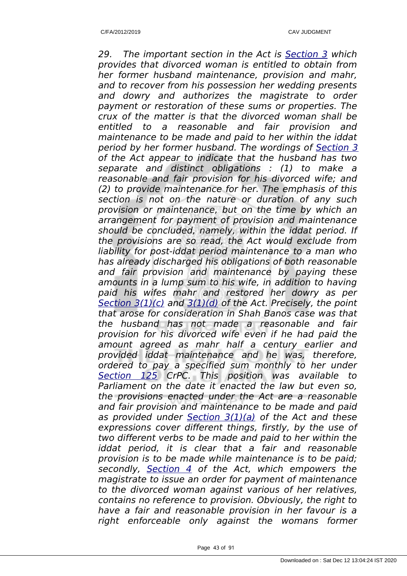29. The important section in the Act is Section 3 which provides that divorced woman is entitled to obtain from her former husband maintenance, provision and mahr, and to recover from his possession her wedding presents and dowry and authorizes the magistrate to order payment or restoration of these sums or properties. The crux of the matter is that the divorced woman shall be entitled to a reasonable and fair provision and maintenance to be made and paid to her within the iddat period by her former husband. The wordings of Section 3 of the Act appear to indicate that the husband has two separate and distinct obligations : (1) to make a reasonable and fair provision for his divorced wife; and (2) to provide maintenance for her. The emphasis of this section is not on the nature or duration of any such provision or maintenance, but on the time by which an arrangement for payment of provision and maintenance should be concluded, namely, within the iddat period. If the provisions are so read, the Act would exclude from liability for post-iddat period maintenance to a man who has already discharged his obligations of both reasonable and fair provision and maintenance by paying these amounts in a lump sum to his wife, in addition to having paid his wifes mahr and restored her dowry as per Section  $3(1)(c)$  and  $3(1)(d)$  of the Act. Precisely, the point that arose for consideration in Shah Banos case was that the husband has not made a reasonable and fair provision for his divorced wife even if he had paid the amount agreed as mahr half a century earlier and provided iddat maintenance and he was, therefore, ordered to pay a specified sum monthly to her under Section 125 CrPC. This position was available to Parliament on the date it enacted the law but even so, the provisions enacted under the Act are a reasonable and fair provision and maintenance to be made and paid as provided under Section 3(1)(a) of the Act and these expressions cover different things, firstly, by the use of two different verbs to be made and paid to her within the iddat period, it is clear that a fair and reasonable provision is to be made while maintenance is to be paid; secondly, Section 4 of the Act, which empowers the magistrate to issue an order for payment of maintenance to the divorced woman against various of her relatives, contains no reference to provision. Obviously, the right to have a fair and reasonable provision in her favour is a right enforceable only against the womans former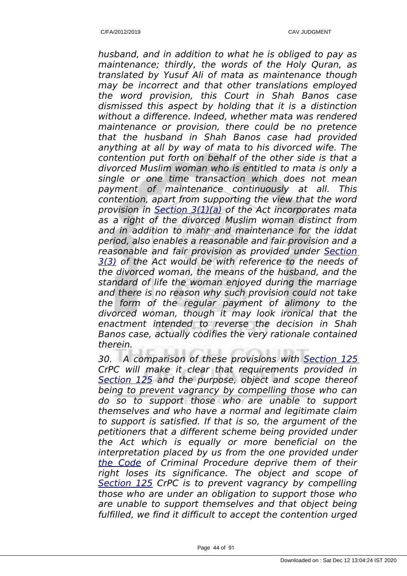husband, and in addition to what he is obliged to pay as maintenance; thirdly, the words of the Holy Quran, as translated by Yusuf Ali of mata as maintenance though may be incorrect and that other translations employed the word provision, this Court in Shah Banos case dismissed this aspect by holding that it is a distinction without a difference. Indeed, whether mata was rendered maintenance or provision, there could be no pretence that the husband in Shah Banos case had provided anything at all by way of mata to his divorced wife. The contention put forth on behalf of the other side is that a divorced Muslim woman who is entitled to mata is only a single or one time transaction which does not mean payment of maintenance continuously at all. This contention, apart from supporting the view that the word provision in Section  $3(1)(a)$  of the Act incorporates mata as a right of the divorced Muslim woman distinct from and in addition to mahr and maintenance for the iddat period, also enables a reasonable and fair provision and a reasonable and fair provision as provided under Section 3(3) of the Act would be with reference to the needs of the divorced woman, the means of the husband, and the standard of life the woman enjoyed during the marriage and there is no reason why such provision could not take the form of the regular payment of alimony to the divorced woman, though it may look ironical that the enactment intended to reverse the decision in Shah Banos case, actually codifies the very rationale contained therein.

30. A comparison of these provisions with Section 125 CrPC will make it clear that requirements provided in Section 125 and the purpose, object and scope thereof being to prevent vagrancy by compelling those who can do so to support those who are unable to support themselves and who have a normal and legitimate claim to support is satisfied. If that is so, the argument of the petitioners that a different scheme being provided under the Act which is equally or more beneficial on the interpretation placed by us from the one provided under the Code of Criminal Procedure deprive them of their right loses its significance. The object and scope of Section 125 CrPC is to prevent vagrancy by compelling those who are under an obligation to support those who are unable to support themselves and that object being fulfilled, we find it difficult to accept the contention urged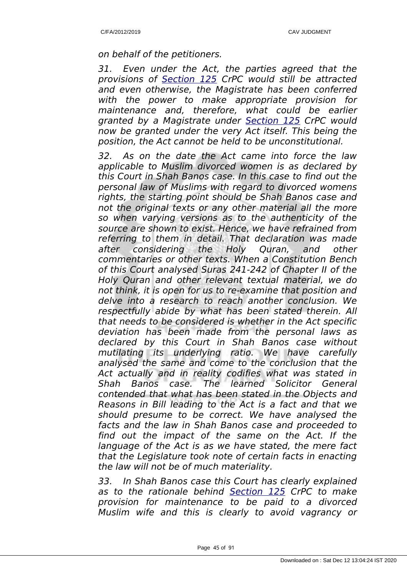on behalf of the petitioners.

31. Even under the Act, the parties agreed that the provisions of Section 125 CrPC would still be attracted and even otherwise, the Magistrate has been conferred with the power to make appropriate provision for maintenance and, therefore, what could be earlier granted by a Magistrate under Section 125 CrPC would now be granted under the very Act itself. This being the position, the Act cannot be held to be unconstitutional.

32. As on the date the Act came into force the law applicable to Muslim divorced women is as declared by this Court in Shah Banos case. In this case to find out the personal law of Muslims with regard to divorced womens rights, the starting point should be Shah Banos case and not the original texts or any other material all the more so when varying versions as to the authenticity of the source are shown to exist. Hence, we have refrained from referring to them in detail. That declaration was made after considering the Holy Quran, and other commentaries or other texts. When a Constitution Bench of this Court analysed Suras 241-242 of Chapter II of the Holy Quran and other relevant textual material, we do not think, it is open for us to re-examine that position and delve into a research to reach another conclusion. We respectfully abide by what has been stated therein. All that needs to be considered is whether in the Act specific deviation has been made from the personal laws as declared by this Court in Shah Banos case without mutilating its underlying ratio. We have carefully analysed the same and come to the conclusion that the Act actually and in reality codifies what was stated in Shah Banos case. The learned Solicitor General contended that what has been stated in the Objects and Reasons in Bill leading to the Act is a fact and that we should presume to be correct. We have analysed the facts and the law in Shah Banos case and proceeded to find out the impact of the same on the Act. If the language of the Act is as we have stated, the mere fact that the Legislature took note of certain facts in enacting the law will not be of much materiality.

33. In Shah Banos case this Court has clearly explained as to the rationale behind Section 125 CrPC to make provision for maintenance to be paid to a divorced Muslim wife and this is clearly to avoid vagrancy or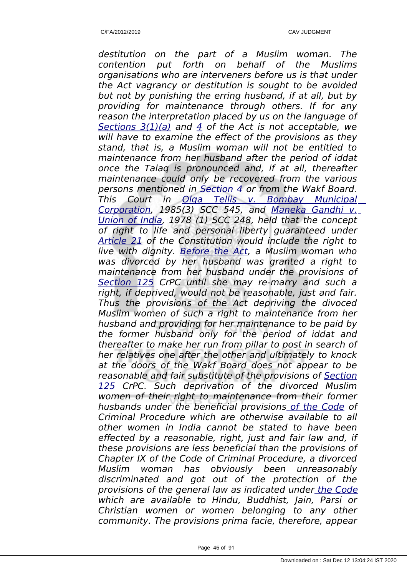destitution on the part of a Muslim woman. The contention put forth on behalf of the Muslims organisations who are interveners before us is that under the Act vagrancy or destitution is sought to be avoided but not by punishing the erring husband, if at all, but by providing for maintenance through others. If for any reason the interpretation placed by us on the language of Sections  $3(1)(a)$  and 4 of the Act is not acceptable, we will have to examine the effect of the provisions as they stand, that is, a Muslim woman will not be entitled to maintenance from her husband after the period of iddat once the Talaq is pronounced and, if at all, thereafter maintenance could only be recovered from the various persons mentioned in Section 4 or from the Wakf Board. This Court in Olga Tellis v. Bombay Municipal Corporation, 1985(3) SCC 545, and Maneka Gandhi v. Union of India, 1978 (1) SCC 248, held that the concept of right to life and personal liberty guaranteed under Article 21 of the Constitution would include the right to live with dignity. Before the Act, a Muslim woman who was divorced by her husband was granted a right to maintenance from her husband under the provisions of Section 125 CrPC until she may re-marry and such a right, if deprived, would not be reasonable, just and fair. Thus the provisions of the Act depriving the divoced Muslim women of such a right to maintenance from her husband and providing for her maintenance to be paid by the former husband only for the period of iddat and thereafter to make her run from pillar to post in search of her relatives one after the other and ultimately to knock at the doors of the Wakf Board does not appear to be reasonable and fair substitute of the provisions of Section 125 CrPC. Such deprivation of the divorced Muslim women of their right to maintenance from their former husbands under the beneficial provisions of the Code of Criminal Procedure which are otherwise available to all other women in India cannot be stated to have been effected by a reasonable, right, just and fair law and, if these provisions are less beneficial than the provisions of Chapter IX of the Code of Criminal Procedure, a divorced Muslim woman has obviously been unreasonably discriminated and got out of the protection of the provisions of the general law as indicated under the Code which are available to Hindu, Buddhist, Jain, Parsi or Christian women or women belonging to any other community. The provisions prima facie, therefore, appear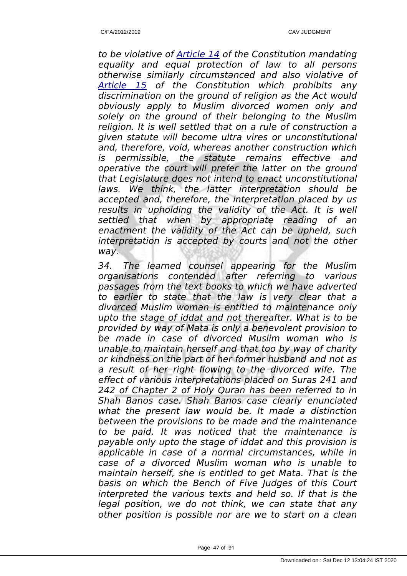to be violative of Article 14 of the Constitution mandating equality and equal protection of law to all persons otherwise similarly circumstanced and also violative of Article 15 of the Constitution which prohibits any discrimination on the ground of religion as the Act would obviously apply to Muslim divorced women only and solely on the ground of their belonging to the Muslim religion. It is well settled that on a rule of construction a given statute will become ultra vires or unconstitutional and, therefore, void, whereas another construction which is permissible, the statute remains effective and operative the court will prefer the latter on the ground that Legislature does not intend to enact unconstitutional laws. We think, the latter interpretation should be accepted and, therefore, the interpretation placed by us results in upholding the validity of the Act. It is well settled that when by appropriate reading of an enactment the validity of the Act can be upheld, such interpretation is accepted by courts and not the other way.

34. The learned counsel appearing for the Muslim organisations contended after referring to various passages from the text books to which we have adverted to earlier to state that the law is very clear that a divorced Muslim woman is entitled to maintenance only upto the stage of iddat and not thereafter. What is to be provided by way of Mata is only a benevolent provision to be made in case of divorced Muslim woman who is unable to maintain herself and that too by way of charity or kindness on the part of her former husband and not as a result of her right flowing to the divorced wife. The effect of various interpretations placed on Suras 241 and 242 of Chapter 2 of Holy Quran has been referred to in Shah Banos case. Shah Banos case clearly enunciated what the present law would be. It made a distinction between the provisions to be made and the maintenance to be paid. It was noticed that the maintenance is payable only upto the stage of iddat and this provision is applicable in case of a normal circumstances, while in case of a divorced Muslim woman who is unable to maintain herself, she is entitled to get Mata. That is the basis on which the Bench of Five Judges of this Court interpreted the various texts and held so. If that is the legal position, we do not think, we can state that any other position is possible nor are we to start on a clean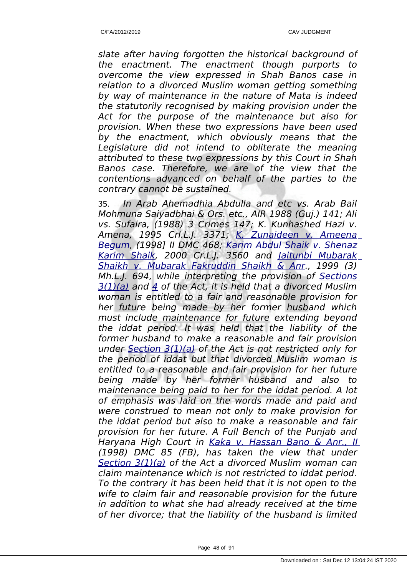slate after having forgotten the historical background of the enactment. The enactment though purports to overcome the view expressed in Shah Banos case in relation to a divorced Muslim woman getting something by way of maintenance in the nature of Mata is indeed the statutorily recognised by making provision under the Act for the purpose of the maintenance but also for provision. When these two expressions have been used by the enactment, which obviously means that the Legislature did not intend to obliterate the meaning attributed to these two expressions by this Court in Shah Banos case. Therefore, we are of the view that the contentions advanced on behalf of the parties to the contrary cannot be sustained.

35. In Arab Ahemadhia Abdulla and etc vs. Arab Bail Mohmuna Saiyadbhai & Ors. etc., AIR 1988 (Guj.) 141; Ali vs. Sufaira, (1988) 3 Crimes 147; K. Kunhashed Hazi v. Amena, 1995 Crl.L.J. 3371; K. Zunaideen v. Ameena Begum, (1998] II DMC 468; Karim Abdul Shaik v. Shenaz Karim Shaik, 2000 Cr.L.J. 3560 and Jaitunbi Mubarak Shaikh v. Mubarak Fakruddin Shaikh & Anr., 1999 (3) Mh.L.J. 694, while interpreting the provision of Sections  $3(1)(a)$  and 4 of the Act, it is held that a divorced Muslim woman is entitled to a fair and reasonable provision for her future being made by her former husband which must include maintenance for future extending beyond the iddat period. It was held that the liability of the former husband to make a reasonable and fair provision under Section 3(1)(a) of the Act is not restricted only for the period of iddat but that divorced Muslim woman is entitled to a reasonable and fair provision for her future being made by her former husband and also to maintenance being paid to her for the iddat period. A lot of emphasis was laid on the words made and paid and were construed to mean not only to make provision for the iddat period but also to make a reasonable and fair provision for her future. A Full Bench of the Punjab and Haryana High Court in Kaka v. Hassan Bano & Anr., II (1998) DMC 85 (FB), has taken the view that under Section 3(1)(a) of the Act a divorced Muslim woman can claim maintenance which is not restricted to iddat period. To the contrary it has been held that it is not open to the wife to claim fair and reasonable provision for the future in addition to what she had already received at the time of her divorce; that the liability of the husband is limited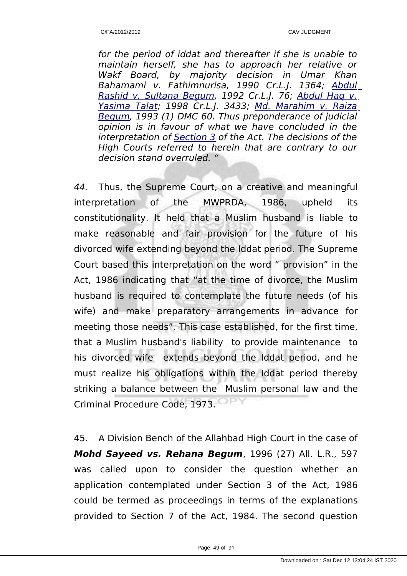for the period of iddat and thereafter if she is unable to maintain herself, she has to approach her relative or Wakf Board, by majority decision in Umar Khan Bahamami v. Fathimnurisa, 1990 Cr.L.J. 1364; Abdul Rashid v. Sultana Begum, 1992 Cr.L.J. 76; Abdul Hag v. Yasima Talat; 1998 Cr.L.J. 3433; Md. Marahim v. Raiza Begum, 1993 (1) DMC 60. Thus preponderance of judicial opinion is in favour of what we have concluded in the interpretation of  $Section 3$  of the Act. The decisions of the High Courts referred to herein that are contrary to our decision stand overruled. "

44. Thus, the Supreme Court, on a creative and meaningful interpretation of the MWPRDA, 1986, upheld its constitutionality. It held that a Muslim husband is liable to make reasonable and fair provision for the future of his divorced wife extending beyond the Iddat period. The Supreme Court based this interpretation on the word " provision" in the Act, 1986 indicating that "at the time of divorce, the Muslim husband is required to contemplate the future needs (of his wife) and make preparatory arrangements in advance for meeting those needs". This case established, for the first time, that a Muslim husband's liability to provide maintenance to his divorced wife extends beyond the Iddat period, and he must realize his obligations within the Iddat period thereby striking a balance between the Muslim personal law and the Criminal Procedure Code, 1973.

45. A Division Bench of the Allahbad High Court in the case of **Mohd Sayeed vs. Rehana Begum**, 1996 (27) All. L.R., 597 was called upon to consider the question whether an application contemplated under Section 3 of the Act, 1986 could be termed as proceedings in terms of the explanations provided to Section 7 of the Act, 1984. The second question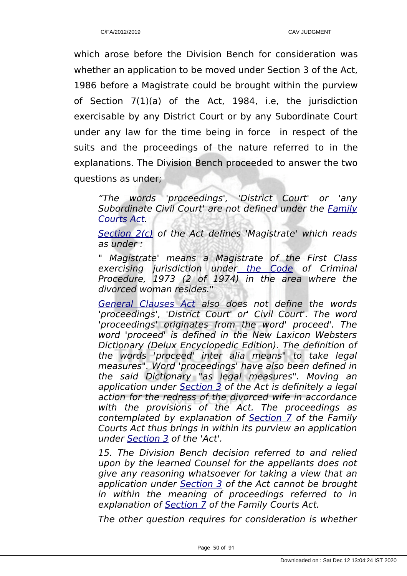which arose before the Division Bench for consideration was whether an application to be moved under Section 3 of the Act, 1986 before a Magistrate could be brought within the purview of Section 7(1)(a) of the Act, 1984, i.e, the jurisdiction exercisable by any District Court or by any Subordinate Court under any law for the time being in force in respect of the suits and the proceedings of the nature referred to in the explanations. The Division Bench proceeded to answer the two questions as under;

"The words 'proceedings', 'District Court' or 'any Subordinate Civil Court' are not defined under the Family Courts Act.

Section 2(c) of the Act defines 'Magistrate' which reads as under :

" Magistrate' means a Magistrate of the First Class exercising jurisdiction under the Code of Criminal Procedure, 1973 (2 of 1974) in the area where the divorced woman resides."

General Clauses Act also does not define the words 'proceedings', 'District Court' or' Civil Court'. The word 'proceedings' originates from the word' proceed'. The word 'proceed' is defined in the New Laxicon Websters Dictionary (Delux Encyclopedic Edition). The definition of the words 'proceed' inter alia means" to take legal measures". Word 'proceedings' have also been defined in the said Dictionary "as legal measures". Moving an application under Section 3 of the Act is definitely a legal action for the redress of the divorced wife in accordance with the provisions of the Act. The proceedings as contemplated by explanation of Section 7 of the Family Courts Act thus brings in within its purview an application under Section 3 of the 'Act'.

15. The Division Bench decision referred to and relied upon by the learned Counsel for the appellants does not give any reasoning whatsoever for taking a view that an application under Section 3 of the Act cannot be brought in within the meaning of proceedings referred to in explanation of Section 7 of the Family Courts Act.

The other question requires for consideration is whether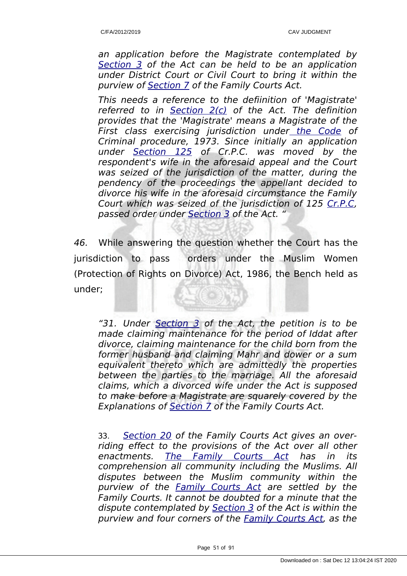an application before the Magistrate contemplated by Section 3 of the Act can be held to be an application under District Court or Civil Court to bring it within the purview of Section 7 of the Family Courts Act.

This needs a reference to the defiinition of 'Magistrate' referred to in Section 2(c) of the Act. The definition provides that the 'Magistrate' means a Magistrate of the First class exercising jurisdiction under the Code of Criminal procedure, 1973. Since initially an application under Section 125 of Cr.P.C. was moved by the respondent's wife in the aforesaid appeal and the Court was seized of the jurisdiction of the matter, during the pendency of the proceedings the appellant decided to divorce his wife in the aforesaid circumstance the Family Court which was seized of the jurisdiction of 125 Cr.P.C, passed order under Section 3 of the Act. "

46. While answering the question whether the Court has the iurisdiction to pass orders under the Muslim Women (Protection of Rights on Divorce) Act, 1986, the Bench held as under;

"31. Under Section 3 of the Act, the petition is to be made claiming maintenance for the period of Iddat after divorce, claiming maintenance for the child born from the former husband and claiming Mahr and dower or a sum equivalent thereto which are admittedly the properties between the parties to the marriage. All the aforesaid claims, which a divorced wife under the Act is supposed to make before a Magistrate are squarely covered by the Explanations of Section 7 of the Family Courts Act.

33. Section 20 of the Family Courts Act gives an overriding effect to the provisions of the Act over all other enactments. The Family Courts Act has in its comprehension all community including the Muslims. All disputes between the Muslim community within the purview of the Family Courts Act are settled by the Family Courts. It cannot be doubted for a minute that the dispute contemplated by Section 3 of the Act is within the purview and four corners of the Family Courts Act, as the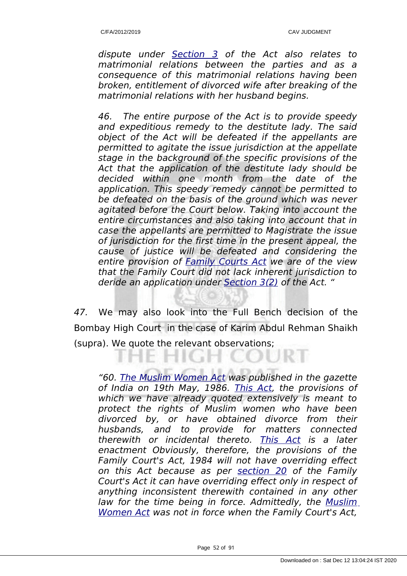dispute under Section 3 of the Act also relates to matrimonial relations between the parties and as a consequence of this matrimonial relations having been broken, entitlement of divorced wife after breaking of the matrimonial relations with her husband begins.

46. The entire purpose of the Act is to provide speedy and expeditious remedy to the destitute lady. The said object of the Act will be defeated if the appellants are permitted to agitate the issue jurisdiction at the appellate stage in the background of the specific provisions of the Act that the application of the destitute lady should be decided within one month from the date of the application. This speedy remedy cannot be permitted to be defeated on the basis of the ground which was never agitated before the Court below. Taking into account the entire circumstances and also taking into account that in case the appellants are permitted to Magistrate the issue of jurisdiction for the first time in the present appeal, the cause of justice will be defeated and considering the entire provision of Family Courts Act we are of the view that the Family Court did not lack inherent jurisdiction to deride an application under Section 3(2) of the Act. "

47. We may also look into the Full Bench decision of the Bombay High Court in the case of Karim Abdul Rehman Shaikh (supra). We quote the relevant observations;

"60. The Muslim Women Act was published in the gazette of India on 19th May, 1986. This Act, the provisions of which we have already quoted extensively is meant to protect the rights of Muslim women who have been divorced by, or have obtained divorce from their husbands, and to provide for matters connected therewith or incidental thereto. This Act is a later enactment Obviously, therefore, the provisions of the Family Court's Act, 1984 will not have overriding effect on this Act because as per section 20 of the Family Court's Act it can have overriding effect only in respect of anything inconsistent therewith contained in any other law for the time being in force. Admittedly, the Muslim Women Act was not in force when the Family Court's Act,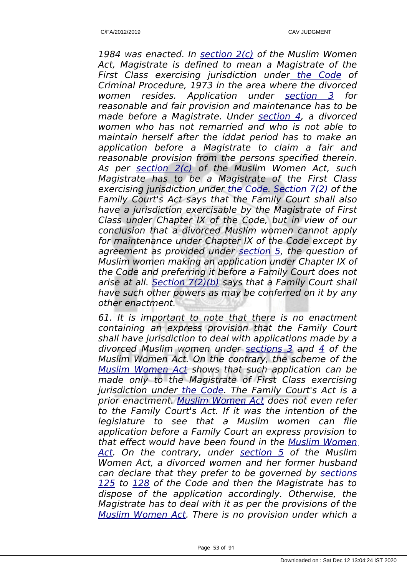1984 was enacted. In section 2(c) of the Muslim Women Act, Magistrate is defined to mean a Magistrate of the First Class exercising jurisdiction under the Code of Criminal Procedure, 1973 in the area where the divorced women resides. Application under section 3 for reasonable and fair provision and maintenance has to be made before a Magistrate. Under section 4, a divorced women who has not remarried and who is not able to maintain herself after the iddat period has to make an application before a Magistrate to claim a fair and reasonable provision from the persons specified therein. As per section 2(c) of the Muslim Women Act, such Magistrate has to be a Magistrate of the First Class exercising jurisdiction under the Code. Section 7(2) of the Family Court's Act says that the Family Court shall also have a jurisdiction exercisable by the Magistrate of First Class under Chapter IX of the Code, but in view of our conclusion that a divorced Muslim women cannot apply for maintenance under Chapter IX of the Code except by agreement as provided under section 5, the question of Muslim women making an application under Chapter IX of the Code and preferring it before a Family Court does not arise at all. Section 7(2)(b) says that a Family Court shall have such other powers as may be conferred on it by any other enactment.

61. It is important to note that there is no enactment containing an express provision that the Family Court shall have jurisdiction to deal with applications made by a divorced Muslim women under sections 3 and 4 of the Muslim Women Act. On the contrary, the scheme of the Muslim Women Act shows that such application can be made only to the Magistrate of First Class exercising jurisdiction under the Code. The Family Court's Act is a prior enactment. Muslim Women Act does not even refer to the Family Court's Act. If it was the intention of the legislature to see that a Muslim women can file application before a Family Court an express provision to that effect would have been found in the Muslim Women Act. On the contrary, under section 5 of the Muslim Women Act, a divorced women and her former husband can declare that they prefer to be governed by sections 125 to 128 of the Code and then the Magistrate has to dispose of the application accordingly. Otherwise, the Magistrate has to deal with it as per the provisions of the Muslim Women Act. There is no provision under which a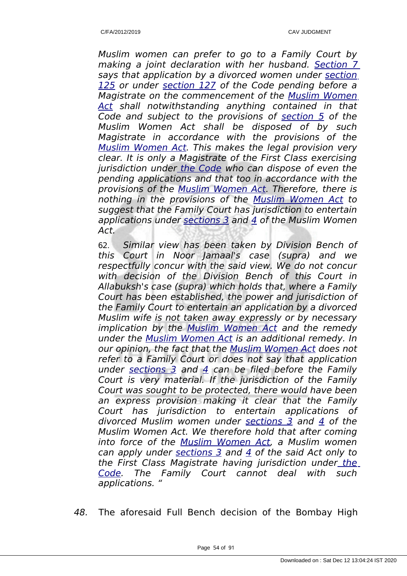Muslim women can prefer to go to a Family Court by making a joint declaration with her husband. Section 7 says that application by a divorced women under section 125 or under section 127 of the Code pending before a Magistrate on the commencement of the Muslim Women Act shall notwithstanding anything contained in that Code and subject to the provisions of section 5 of the Muslim Women Act shall be disposed of by such Magistrate in accordance with the provisions of the Muslim Women Act. This makes the legal provision very clear. It is only a Magistrate of the First Class exercising jurisdiction under the Code who can dispose of even the pending applications and that too in accordance with the provisions of the Muslim Women Act. Therefore, there is nothing in the provisions of the Muslim Women Act to suggest that the Family Court has jurisdiction to entertain applications under sections 3 and 4 of the Muslim Women Act.

62. Similar view has been taken by Division Bench of this Court in Noor Jamaal's case (supra) and we respectfully concur with the said view. We do not concur with decision of the Division Bench of this Court in Allabuksh's case (supra) which holds that, where a Family Court has been established, the power and jurisdiction of the Family Court to entertain an application by a divorced Muslim wife is not taken away expressly or by necessary implication by the Muslim Women Act and the remedy under the Muslim Women Act is an additional remedy. In our opinion, the fact that the Muslim Women Act does not refer to a Family Court or does not say that application under sections 3 and 4 can be filed before the Family Court is very material. If the jurisdiction of the Family Court was sought to be protected, there would have been an express provision making it clear that the Family Court has jurisdiction to entertain applications of divorced Muslim women under sections 3 and 4 of the Muslim Women Act. We therefore hold that after coming into force of the Muslim Women Act, a Muslim women can apply under sections 3 and 4 of the said Act only to the First Class Magistrate having jurisdiction under the Code. The Family Court cannot deal with such applications. "

48. The aforesaid Full Bench decision of the Bombay High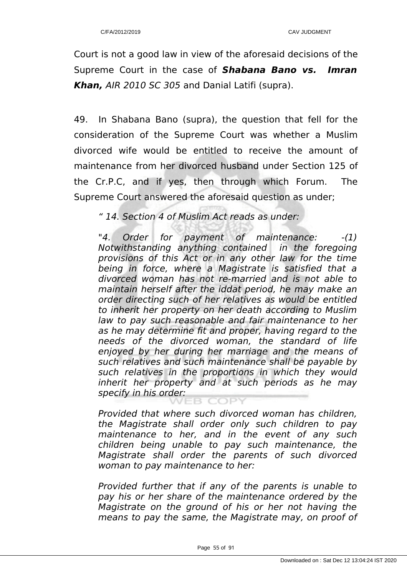Court is not a good law in view of the aforesaid decisions of the Supreme Court in the case of **Shabana Bano vs. Imran Khan,** AIR 2010 SC 305 and Danial Latifi (supra).

49. In Shabana Bano (supra), the question that fell for the consideration of the Supreme Court was whether a Muslim divorced wife would be entitled to receive the amount of maintenance from her divorced husband under Section 125 of the Cr.P.C, and if yes, then through which Forum. The Supreme Court answered the aforesaid question as under;

" 14. Section 4 of Muslim Act reads as under:

"4. Order for payment of maintenance:  $-(1)$ Notwithstanding anything contained in the foregoing provisions of this Act or in any other law for the time being in force, where a Magistrate is satisfied that a divorced woman has not re-married and is not able to maintain herself after the iddat period, he may make an order directing such of her relatives as would be entitled to inherit her property on her death according to Muslim law to pay such reasonable and fair maintenance to her as he may determine fit and proper, having regard to the needs of the divorced woman, the standard of life enjoyed by her during her marriage and the means of such relatives and such maintenance shall be payable by such relatives in the proportions in which they would inherit her property and at such periods as he may specify in his order:<br>Specify in his order:

Provided that where such divorced woman has children, the Magistrate shall order only such children to pay maintenance to her, and in the event of any such children being unable to pay such maintenance, the Magistrate shall order the parents of such divorced woman to pay maintenance to her:

Provided further that if any of the parents is unable to pay his or her share of the maintenance ordered by the Magistrate on the ground of his or her not having the means to pay the same, the Magistrate may, on proof of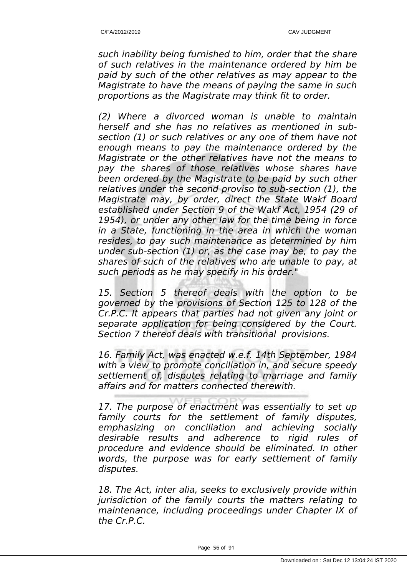such inability being furnished to him, order that the share of such relatives in the maintenance ordered by him be paid by such of the other relatives as may appear to the Magistrate to have the means of paying the same in such proportions as the Magistrate may think fit to order.

(2) Where a divorced woman is unable to maintain herself and she has no relatives as mentioned in subsection (1) or such relatives or any one of them have not enough means to pay the maintenance ordered by the Magistrate or the other relatives have not the means to pay the shares of those relatives whose shares have been ordered by the Magistrate to be paid by such other relatives under the second proviso to sub-section (1), the Magistrate may, by order, direct the State Wakf Board established under Section 9 of the Wakf Act, 1954 (29 of 1954), or under any other law for the time being in force in a State, functioning in the area in which the woman resides, to pay such maintenance as determined by him under sub-section (1) or, as the case may be, to pay the shares of such of the relatives who are unable to pay, at such periods as he may specify in his order."

15. Section 5 thereof deals with the option to be governed by the provisions of Section 125 to 128 of the Cr.P.C. It appears that parties had not given any joint or separate application for being considered by the Court. Section 7 thereof deals with transitional provisions.

16. Family Act, was enacted w.e.f. 14th September, 1984 with a view to promote conciliation in, and secure speedy settlement of, disputes relating to marriage and family affairs and for matters connected therewith.

17. The purpose of enactment was essentially to set up family courts for the settlement of family disputes, emphasizing on conciliation and achieving socially desirable results and adherence to rigid rules of procedure and evidence should be eliminated. In other words, the purpose was for early settlement of family disputes.

18. The Act, inter alia, seeks to exclusively provide within jurisdiction of the family courts the matters relating to maintenance, including proceedings under Chapter IX of the Cr.P.C.

Page 56 of 91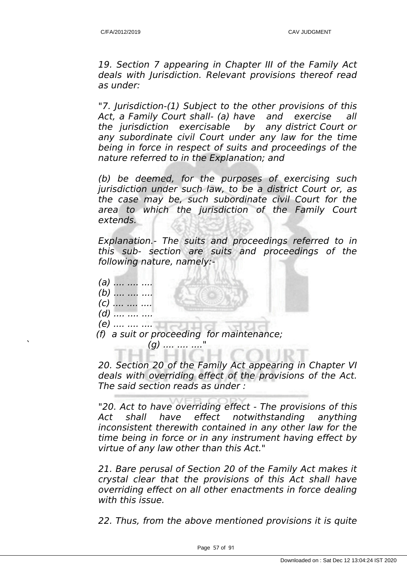19. Section 7 appearing in Chapter III of the Family Act deals with Jurisdiction. Relevant provisions thereof read as under:

"7. Jurisdiction-(1) Subject to the other provisions of this Act, a Family Court shall- (a) have and exercise all the jurisdiction exercisable by any district Court or any subordinate civil Court under any law for the time being in force in respect of suits and proceedings of the nature referred to in the Explanation; and

(b) be deemed, for the purposes of exercising such jurisdiction under such law, to be a district Court or, as the case may be, such subordinate civil Court for the area to which the jurisdiction of the Family Court extends.

Explanation.- The suits and proceedings referred to in this sub- section are suits and proceedings of the following nature, namely:-

- $(a)$  .... .... ....
- $(b)$  .... .... ....
- $(C)$  .... .... ....
- $(d)$  .... .... ....
- (e) .... .... ....
- (f) a suit or proceeding for maintenance;  $(g)$  .... .... ....

20. Section 20 of the Family Act appearing in Chapter VI deals with overriding effect of the provisions of the Act. The said section reads as under :

"20. Act to have overriding effect - The provisions of this Act shall have effect notwithstanding anything inconsistent therewith contained in any other law for the time being in force or in any instrument having effect by virtue of any law other than this Act."

21. Bare perusal of Section 20 of the Family Act makes it crystal clear that the provisions of this Act shall have overriding effect on all other enactments in force dealing with this issue.

22. Thus, from the above mentioned provisions it is quite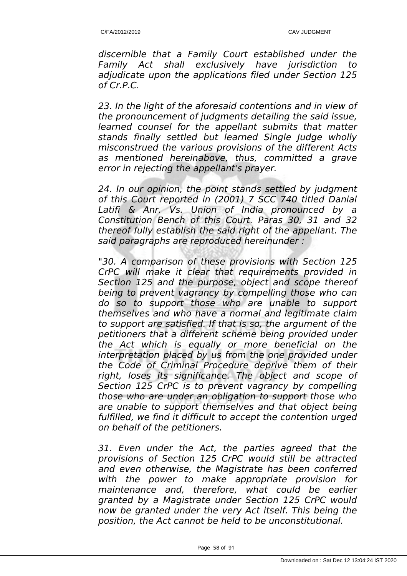discernible that a Family Court established under the Family Act shall exclusively have jurisdiction to adjudicate upon the applications filed under Section 125 of Cr.P.C.

23. In the light of the aforesaid contentions and in view of the pronouncement of judgments detailing the said issue, learned counsel for the appellant submits that matter stands finally settled but learned Single Judge wholly misconstrued the various provisions of the different Acts as mentioned hereinabove, thus, committed a grave error in rejecting the appellant's prayer.

24. In our opinion, the point stands settled by judgment of this Court reported in (2001) 7 SCC 740 titled Danial Latifi & Anr. Vs. Union of India pronounced by a Constitution Bench of this Court. Paras 30, 31 and 32 thereof fully establish the said right of the appellant. The said paragraphs are reproduced hereinunder :

"30. A comparison of these provisions with Section 125 CrPC will make it clear that requirements provided in Section 125 and the purpose, object and scope thereof being to prevent vagrancy by compelling those who can do so to support those who are unable to support themselves and who have a normal and legitimate claim to support are satisfied. If that is so, the argument of the petitioners that a different scheme being provided under the Act which is equally or more beneficial on the interpretation placed by us from the one provided under the Code of Criminal Procedure deprive them of their right, loses its significance. The object and scope of Section 125 CrPC is to prevent vagrancy by compelling those who are under an obligation to support those who are unable to support themselves and that object being fulfilled, we find it difficult to accept the contention urged on behalf of the petitioners.

31. Even under the Act, the parties agreed that the provisions of Section 125 CrPC would still be attracted and even otherwise, the Magistrate has been conferred with the power to make appropriate provision for maintenance and, therefore, what could be earlier granted by a Magistrate under Section 125 CrPC would now be granted under the very Act itself. This being the position, the Act cannot be held to be unconstitutional.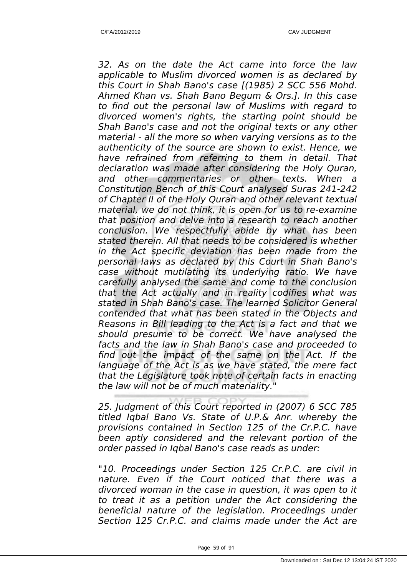32. As on the date the Act came into force the law applicable to Muslim divorced women is as declared by this Court in Shah Bano's case [(1985) 2 SCC 556 Mohd. Ahmed Khan vs. Shah Bano Begum & Ors.]. In this case to find out the personal law of Muslims with regard to divorced women's rights, the starting point should be Shah Bano's case and not the original texts or any other material - all the more so when varying versions as to the authenticity of the source are shown to exist. Hence, we have refrained from referring to them in detail. That declaration was made after considering the Holy Quran, and other commentaries or other texts. When a Constitution Bench of this Court analysed Suras 241-242 of Chapter II of the Holy Quran and other relevant textual material, we do not think, it is open for us to re-examine that position and delve into a research to reach another conclusion. We respectfully abide by what has been stated therein. All that needs to be considered is whether in the Act specific deviation has been made from the personal laws as declared by this Court in Shah Bano's case without mutilating its underlying ratio. We have carefully analysed the same and come to the conclusion that the Act actually and in reality codifies what was stated in Shah Bano's case. The learned Solicitor General contended that what has been stated in the Objects and Reasons in Bill leading to the Act is a fact and that we should presume to be correct. We have analysed the facts and the law in Shah Bano's case and proceeded to find out the impact of the same on the Act. If the language of the Act is as we have stated, the mere fact that the Legislature took note of certain facts in enacting the law will not be of much materiality."

25. Judgment of this Court reported in (2007) 6 SCC 785 titled Iqbal Bano Vs. State of U.P.& Anr. whereby the provisions contained in Section 125 of the Cr.P.C. have been aptly considered and the relevant portion of the order passed in Iqbal Bano's case reads as under:

"10. Proceedings under Section 125 Cr.P.C. are civil in nature. Even if the Court noticed that there was a divorced woman in the case in question, it was open to it to treat it as a petition under the Act considering the beneficial nature of the legislation. Proceedings under Section 125 Cr.P.C. and claims made under the Act are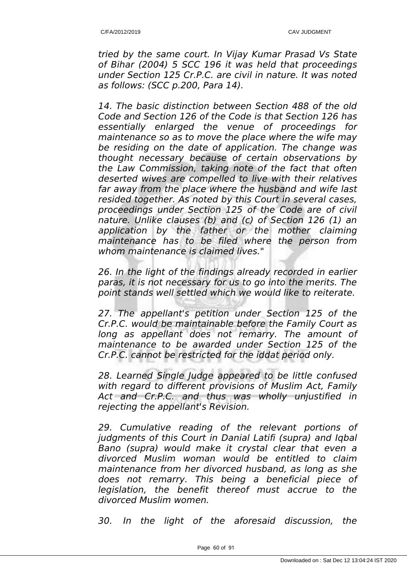tried by the same court. In Vijay Kumar Prasad Vs State of Bihar (2004) 5 SCC 196 it was held that proceedings under Section 125 Cr.P.C. are civil in nature. It was noted as follows: (SCC p.200, Para 14).

14. The basic distinction between Section 488 of the old Code and Section 126 of the Code is that Section 126 has essentially enlarged the venue of proceedings for maintenance so as to move the place where the wife may be residing on the date of application. The change was thought necessary because of certain observations by the Law Commission, taking note of the fact that often deserted wives are compelled to live with their relatives far away from the place where the husband and wife last resided together. As noted by this Court in several cases, proceedings under Section 125 of the Code are of civil nature. Unlike clauses (b) and (c) of Section 126 (1) an application by the father or the mother claiming maintenance has to be filed where the person from whom maintenance is claimed lives."

26. In the light of the findings already recorded in earlier paras, it is not necessary for us to go into the merits. The point stands well settled which we would like to reiterate.

27. The appellant's petition under Section 125 of the Cr.P.C. would be maintainable before the Family Court as long as appellant does not remarry. The amount of maintenance to be awarded under Section 125 of the Cr.P.C. cannot be restricted for the iddat period only.

28. Learned Single Judge appeared to be little confused with regard to different provisions of Muslim Act, Family Act and Cr.P.C. and thus was wholly unjustified in rejecting the appellant's Revision.

29. Cumulative reading of the relevant portions of judgments of this Court in Danial Latifi (supra) and Iqbal Bano (supra) would make it crystal clear that even a divorced Muslim woman would be entitled to claim maintenance from her divorced husband, as long as she does not remarry. This being a beneficial piece of legislation, the benefit thereof must accrue to the divorced Muslim women.

30. In the light of the aforesaid discussion, the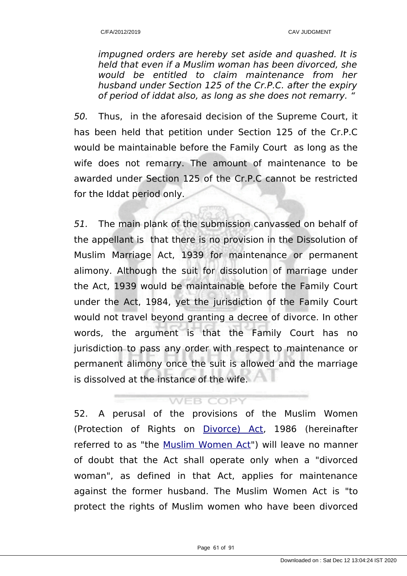impugned orders are hereby set aside and quashed. It is held that even if a Muslim woman has been divorced, she would be entitled to claim maintenance from her husband under Section 125 of the Cr.P.C. after the expiry of period of iddat also, as long as she does not remarry. "

50. Thus, in the aforesaid decision of the Supreme Court, it has been held that petition under Section 125 of the Cr.P.C would be maintainable before the Family Court as long as the wife does not remarry. The amount of maintenance to be awarded under Section 125 of the Cr.P.C cannot be restricted for the Iddat period only.

51. The main plank of the submission canvassed on behalf of the appellant is that there is no provision in the Dissolution of Muslim Marriage Act, 1939 for maintenance or permanent alimony. Although the suit for dissolution of marriage under the Act, 1939 would be maintainable before the Family Court under the Act, 1984, yet the jurisdiction of the Family Court would not travel beyond granting a decree of divorce. In other words, the argument is that the Family Court has no jurisdiction to pass any order with respect to maintenance or permanent alimony once the suit is allowed and the marriage is dissolved at the instance of the wife.

## **WEB COPY**

52. A perusal of the provisions of the Muslim Women (Protection of Rights on Divorce) Act, 1986 (hereinafter referred to as "the Muslim Women Act") will leave no manner of doubt that the Act shall operate only when a "divorced woman", as defined in that Act, applies for maintenance against the former husband. The Muslim Women Act is "to protect the rights of Muslim women who have been divorced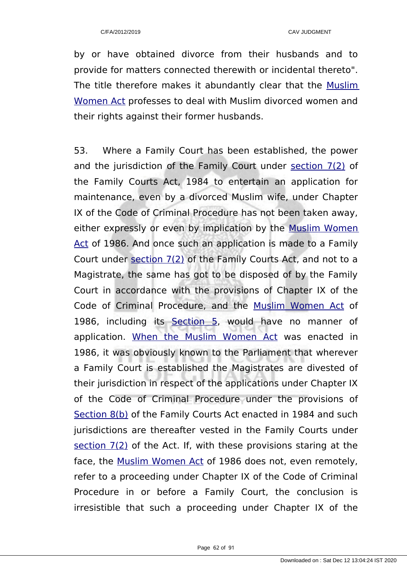by or have obtained divorce from their husbands and to provide for matters connected therewith or incidental thereto". The title therefore makes it abundantly clear that the Muslim Women Act professes to deal with Muslim divorced women and their rights against their former husbands.

53. Where a Family Court has been established, the power and the jurisdiction of the Family Court under section 7(2) of the Family Courts Act, 1984 to entertain an application for maintenance, even by a divorced Muslim wife, under Chapter IX of the Code of Criminal Procedure has not been taken away, either expressly or even by implication by the Muslim Women Act of 1986. And once such an application is made to a Family Court under section 7(2) of the Family Courts Act, and not to a Magistrate, the same has got to be disposed of by the Family Court in accordance with the provisions of Chapter IX of the Code of Criminal Procedure, and the Muslim Women Act of 1986, including its Section 5, would have no manner of application. When the Muslim Women Act was enacted in 1986, it was obviously known to the Parliament that wherever a Family Court is established the Magistrates are divested of their jurisdiction in respect of the applications under Chapter IX of the Code of Criminal Procedure under the provisions of Section 8(b) of the Family Courts Act enacted in 1984 and such jurisdictions are thereafter vested in the Family Courts under section 7(2) of the Act. If, with these provisions staring at the face, the Muslim Women Act of 1986 does not, even remotely, refer to a proceeding under Chapter IX of the Code of Criminal Procedure in or before a Family Court, the conclusion is irresistible that such a proceeding under Chapter IX of the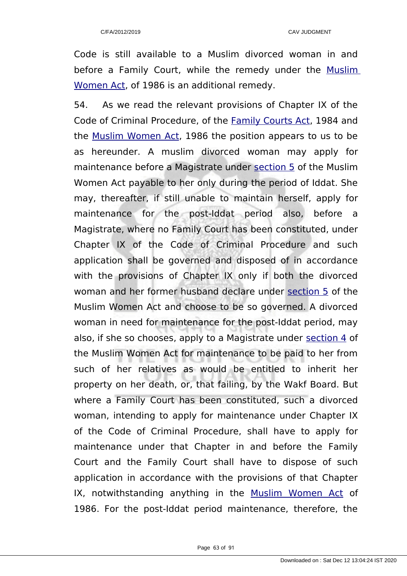Code is still available to a Muslim divorced woman in and before a Family Court, while the remedy under the Muslim Women Act, of 1986 is an additional remedy.

54. As we read the relevant provisions of Chapter IX of the Code of Criminal Procedure, of the Family Courts Act, 1984 and the Muslim Women Act, 1986 the position appears to us to be as hereunder. A muslim divorced woman may apply for maintenance before a Magistrate under section 5 of the Muslim Women Act payable to her only during the period of Iddat. She may, thereafter, if still unable to maintain herself, apply for maintenance for the post-Iddat period also, before a Magistrate, where no Family Court has been constituted, under Chapter IX of the Code of Criminal Procedure and such application shall be governed and disposed of in accordance with the provisions of Chapter IX only if both the divorced woman and her former husband declare under section 5 of the Muslim Women Act and choose to be so governed. A divorced woman in need for maintenance for the post-Iddat period, may also, if she so chooses, apply to a Magistrate under section 4 of the Muslim Women Act for maintenance to be paid to her from such of her relatives as would be entitled to inherit her property on her death, or, that failing, by the Wakf Board. But where a Family Court has been constituted, such a divorced woman, intending to apply for maintenance under Chapter IX of the Code of Criminal Procedure, shall have to apply for maintenance under that Chapter in and before the Family Court and the Family Court shall have to dispose of such application in accordance with the provisions of that Chapter IX, notwithstanding anything in the Muslim Women Act of 1986. For the post-Iddat period maintenance, therefore, the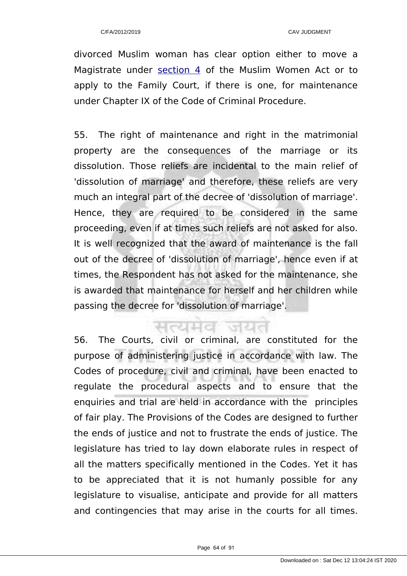divorced Muslim woman has clear option either to move a Magistrate under section 4 of the Muslim Women Act or to apply to the Family Court, if there is one, for maintenance under Chapter IX of the Code of Criminal Procedure.

55. The right of maintenance and right in the matrimonial property are the consequences of the marriage or its dissolution. Those reliefs are incidental to the main relief of 'dissolution of marriage' and therefore, these reliefs are very much an integral part of the decree of 'dissolution of marriage'. Hence, they are required to be considered in the same proceeding, even if at times such reliefs are not asked for also. It is well recognized that the award of maintenance is the fall out of the decree of 'dissolution of marriage', hence even if at times, the Respondent has not asked for the maintenance, she is awarded that maintenance for herself and her children while passing the decree for 'dissolution of marriage'.

56. The Courts, civil or criminal, are constituted for the purpose of administering justice in accordance with law. The Codes of procedure, civil and criminal, have been enacted to regulate the procedural aspects and to ensure that the enquiries and trial are held in accordance with the principles of fair play. The Provisions of the Codes are designed to further the ends of justice and not to frustrate the ends of justice. The legislature has tried to lay down elaborate rules in respect of all the matters specifically mentioned in the Codes. Yet it has to be appreciated that it is not humanly possible for any legislature to visualise, anticipate and provide for all matters and contingencies that may arise in the courts for all times.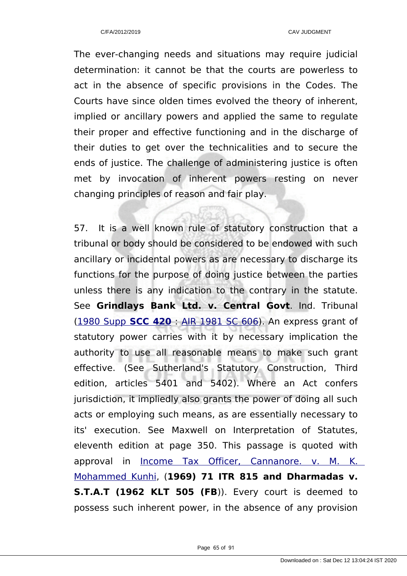The ever-changing needs and situations may require judicial determination: it cannot be that the courts are powerless to act in the absence of specific provisions in the Codes. The Courts have since olden times evolved the theory of inherent, implied or ancillary powers and applied the same to regulate their proper and effective functioning and in the discharge of their duties to get over the technicalities and to secure the ends of justice. The challenge of administering justice is often met by invocation of inherent powers resting on never changing principles of reason and fair play.

57. It is a well known rule of statutory construction that a tribunal or body should be considered to be endowed with such ancillary or incidental powers as are necessary to discharge its functions for the purpose of doing justice between the parties unless there is any indication to the contrary in the statute. See **Grindlays Bank Ltd. v. Central Govt**. Ind. Tribunal ( 1980 Supp **SCC 420** : AIR 1981 SC 606). An express grant of statutory power carries with it by necessary implication the authority to use all reasonable means to make such grant effective. (See Sutherland's Statutory Construction, Third edition, articles 5401 and 5402). Where an Act confers jurisdiction, it impliedly also grants the power of doing all such acts or employing such means, as are essentially necessary to its' execution. See Maxwell on Interpretation of Statutes, eleventh edition at page 350. This passage is quoted with approval in Income Tax Officer, Cannanore. v. M. K. Mohammed Kunhi, (**1969) 71 ITR 815 and Dharmadas v. S.T.A.T (1962 KLT 505 (FB**)). Every court is deemed to possess such inherent power, in the absence of any provision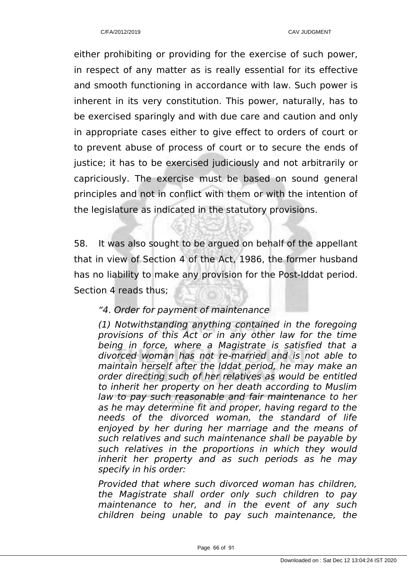either prohibiting or providing for the exercise of such power, in respect of any matter as is really essential for its effective and smooth functioning in accordance with law. Such power is inherent in its very constitution. This power, naturally, has to be exercised sparingly and with due care and caution and only in appropriate cases either to give effect to orders of court or to prevent abuse of process of court or to secure the ends of justice; it has to be exercised judiciously and not arbitrarily or capriciously. The exercise must be based on sound general principles and not in conflict with them or with the intention of the legislature as indicated in the statutory provisions.

58. It was also sought to be argued on behalf of the appellant that in view of Section 4 of the Act, 1986, the former husband has no liability to make any provision for the Post-Iddat period. Section 4 reads thus;

## "4. Order for payment of maintenance

(1) Notwithstanding anything contained in the foregoing provisions of this Act or in any other law for the time being in force, where a Magistrate is satisfied that a divorced woman has not re-married and is not able to maintain herself after the Iddat period, he may make an order directing such of her relatives as would be entitled to inherit her property on her death according to Muslim law to pay such reasonable and fair maintenance to her as he may determine fit and proper, having regard to the needs of the divorced woman, the standard of life enjoyed by her during her marriage and the means of such relatives and such maintenance shall be payable by such relatives in the proportions in which they would inherit her property and as such periods as he may specify in his order:

Provided that where such divorced woman has children, the Magistrate shall order only such children to pay maintenance to her, and in the event of any such children being unable to pay such maintenance, the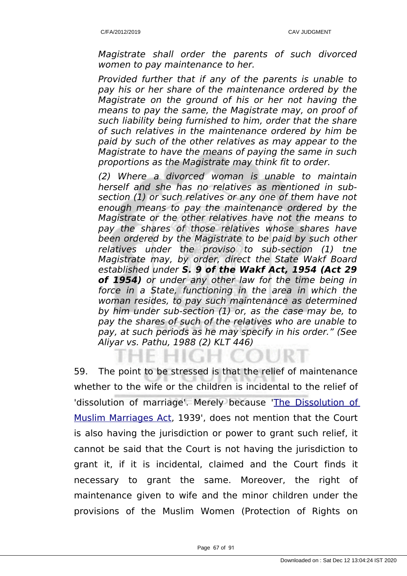Magistrate shall order the parents of such divorced women to pay maintenance to her.

Provided further that if any of the parents is unable to pay his or her share of the maintenance ordered by the Magistrate on the ground of his or her not having the means to pay the same, the Magistrate may, on proof of such liability being furnished to him, order that the share of such relatives in the maintenance ordered by him be paid by such of the other relatives as may appear to the Magistrate to have the means of paying the same in such proportions as the Magistrate may think fit to order.

(2) Where a divorced woman is unable to maintain herself and she has no relatives as mentioned in subsection (1) or such relatives or any one of them have not enough means to pay the maintenance ordered by the Magistrate or the other relatives have not the means to pay the shares of those relatives whose shares have been ordered by the Magistrate to be paid by such other relatives under the proviso to sub-section (1) tne Magistrate may, by order, direct the State Wakf Board established under **S. 9 of the Wakf Act, 1954 (Act 29 of 1954)** or under any other law for the time being in force in a State, functioning in the area in which the woman resides, to pay such maintenance as determined by him under sub-section (1) or, as the case may be, to pay the shares of such of the relatives who are unable to pay, at such periods as he may specify in his order." (See Aliyar vs. Pathu, 1988 (2) KLT 446)

59. The point to be stressed is that the relief of maintenance whether to the wife or the children is incidental to the relief of 'dissolution of marriage'. Merely because 'The Dissolution of Muslim Marriages Act, 1939', does not mention that the Court is also having the jurisdiction or power to grant such relief, it cannot be said that the Court is not having the jurisdiction to grant it, if it is incidental, claimed and the Court finds it necessary to grant the same. Moreover, the right of maintenance given to wife and the minor children under the provisions of the Muslim Women (Protection of Rights on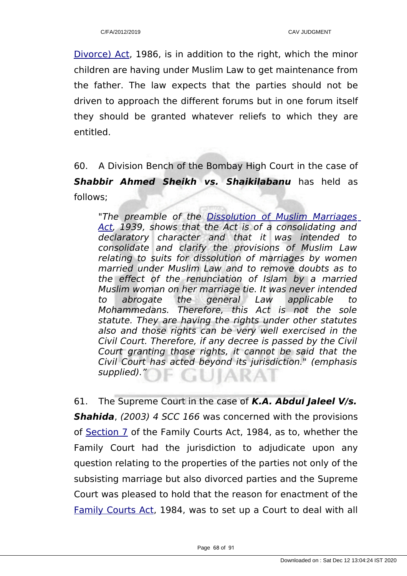Divorce) Act, 1986, is in addition to the right, which the minor children are having under Muslim Law to get maintenance from the father. The law expects that the parties should not be driven to approach the different forums but in one forum itself they should be granted whatever reliefs to which they are entitled.

60. A Division Bench of the Bombay High Court in the case of **Shabbir Ahmed Sheikh vs. Shaikilabanu** has held as follows;

"The preamble of the Dissolution of Muslim Marriages Act, 1939, shows that the Act is of a consolidating and declaratory character and that it was intended to consolidate and clarify the provisions of Muslim Law relating to suits for dissolution of marriages by women married under Muslim Law and to remove doubts as to the effect of the renunciation of Islam by a married Muslim woman on her marriage tie. It was never intended to abrogate the general Law applicable to Mohammedans. Therefore, this Act is not the sole statute. They are having the rights under other statutes also and those rights can be very well exercised in the Civil Court. Therefore, if any decree is passed by the Civil Court granting those rights, it cannot be said that the Civil Court has acted beyond its jurisdiction." (emphasis supplied)." a 1

61. The Supreme Court in the case of **K.A. Abdul Jaleel V/s. Shahida**, (2003) 4 SCC 166 was concerned with the provisions of Section 7 of the Family Courts Act, 1984, as to, whether the Family Court had the jurisdiction to adjudicate upon any question relating to the properties of the parties not only of the subsisting marriage but also divorced parties and the Supreme Court was pleased to hold that the reason for enactment of the Family Courts Act, 1984, was to set up a Court to deal with all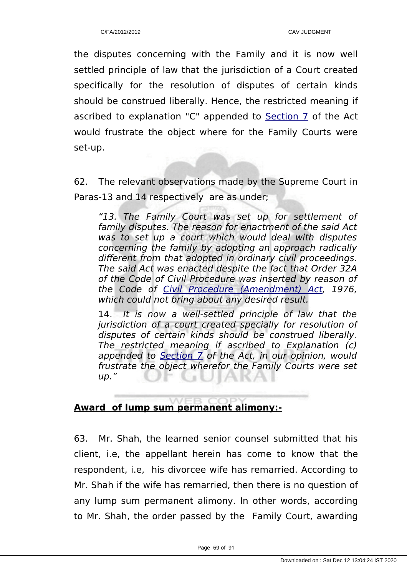the disputes concerning with the Family and it is now well settled principle of law that the jurisdiction of a Court created specifically for the resolution of disputes of certain kinds should be construed liberally. Hence, the restricted meaning if ascribed to explanation "C" appended to Section 7 of the Act would frustrate the object where for the Family Courts were set-up.

62. The relevant observations made by the Supreme Court in Paras-13 and 14 respectively are as under;

"13. The Family Court was set up for settlement of family disputes. The reason for enactment of the said Act was to set up a court which would deal with disputes concerning the family by adopting an approach radically different from that adopted in ordinary civil proceedings. The said Act was enacted despite the fact that Order 32A of the Code of Civil Procedure was inserted by reason of the Code of Civil Procedure (Amendment) Act, 1976, which could not bring about any desired result.

14. It is now a well-settled principle of law that the jurisdiction of a court created specially for resolution of disputes of certain kinds should be construed liberally. The restricted meaning if ascribed to Explanation (c) appended to Section 7 of the Act, in our opinion, would frustrate the object wherefor the Family Courts were set up."

## **Award of lump sum permanent alimony:-**

63. Mr. Shah, the learned senior counsel submitted that his client, i.e, the appellant herein has come to know that the respondent, i.e, his divorcee wife has remarried. According to Mr. Shah if the wife has remarried, then there is no question of any lump sum permanent alimony. In other words, according to Mr. Shah, the order passed by the Family Court, awarding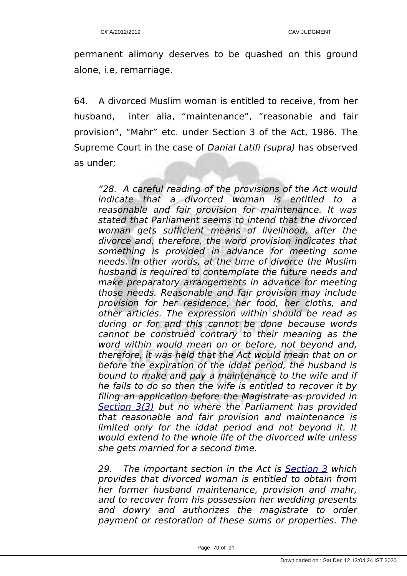permanent alimony deserves to be quashed on this ground alone, i.e, remarriage.

64. A divorced Muslim woman is entitled to receive, from her husband, inter alia, "maintenance", "reasonable and fair provision", "Mahr" etc. under Section 3 of the Act, 1986. The Supreme Court in the case of Danial Latifi (supra) has observed as under;

"28. A careful reading of the provisions of the Act would indicate that a divorced woman is entitled to a reasonable and fair provision for maintenance. It was stated that Parliament seems to intend that the divorced woman gets sufficient means of livelihood, after the divorce and, therefore, the word provision indicates that something is provided in advance for meeting some needs. In other words, at the time of divorce the Muslim husband is required to contemplate the future needs and make preparatory arrangements in advance for meeting those needs. Reasonable and fair provision may include provision for her residence, her food, her cloths, and other articles. The expression within should be read as during or for and this cannot be done because words cannot be construed contrary to their meaning as the word within would mean on or before, not beyond and, therefore, it was held that the Act would mean that on or before the expiration of the iddat period, the husband is bound to make and pay a maintenance to the wife and if he fails to do so then the wife is entitled to recover it by filing an application before the Magistrate as provided in Section 3(3) but no where the Parliament has provided that reasonable and fair provision and maintenance is limited only for the iddat period and not beyond it. It would extend to the whole life of the divorced wife unless she gets married for a second time.

29. The important section in the Act is Section 3 which provides that divorced woman is entitled to obtain from her former husband maintenance, provision and mahr, and to recover from his possession her wedding presents and dowry and authorizes the magistrate to order payment or restoration of these sums or properties. The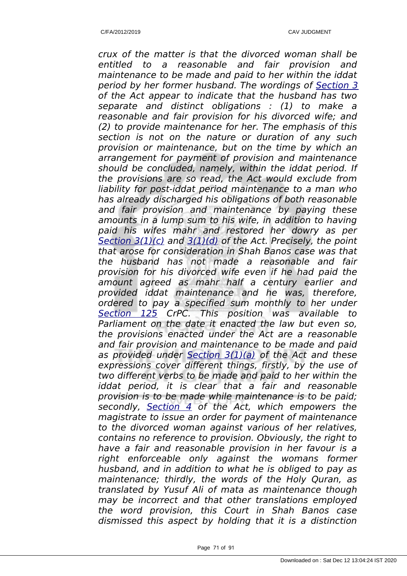crux of the matter is that the divorced woman shall be entitled to a reasonable and fair provision and maintenance to be made and paid to her within the iddat period by her former husband. The wordings of Section 3 of the Act appear to indicate that the husband has two separate and distinct obligations : (1) to make a reasonable and fair provision for his divorced wife; and (2) to provide maintenance for her. The emphasis of this section is not on the nature or duration of any such provision or maintenance, but on the time by which an arrangement for payment of provision and maintenance should be concluded, namely, within the iddat period. If the provisions are so read, the Act would exclude from liability for post-iddat period maintenance to a man who has already discharged his obligations of both reasonable and fair provision and maintenance by paying these amounts in a lump sum to his wife, in addition to having paid his wifes mahr and restored her dowry as per Section 3(1)(c) and 3(1)(d) of the Act. Precisely, the point that arose for consideration in Shah Banos case was that the husband has not made a reasonable and fair provision for his divorced wife even if he had paid the amount agreed as mahr half a century earlier and provided iddat maintenance and he was, therefore, ordered to pay a specified sum monthly to her under Section 125 CrPC. This position was available to Parliament on the date it enacted the law but even so, the provisions enacted under the Act are a reasonable and fair provision and maintenance to be made and paid as provided under Section 3(1)(a) of the Act and these expressions cover different things, firstly, by the use of two different verbs to be made and paid to her within the iddat period, it is clear that a fair and reasonable provision is to be made while maintenance is to be paid; secondly, Section 4 of the Act, which empowers the magistrate to issue an order for payment of maintenance to the divorced woman against various of her relatives, contains no reference to provision. Obviously, the right to have a fair and reasonable provision in her favour is a right enforceable only against the womans former husband, and in addition to what he is obliged to pay as maintenance; thirdly, the words of the Holy Quran, as translated by Yusuf Ali of mata as maintenance though may be incorrect and that other translations employed the word provision, this Court in Shah Banos case dismissed this aspect by holding that it is a distinction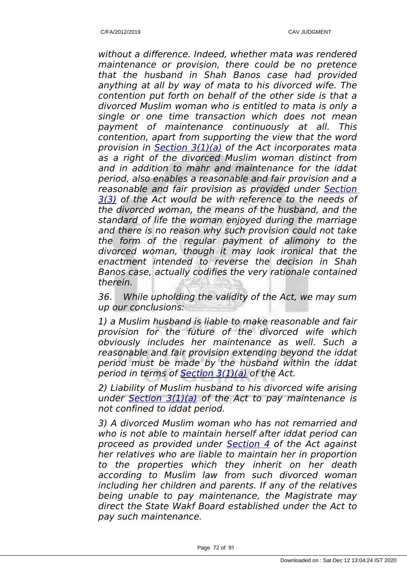without a difference. Indeed, whether mata was rendered maintenance or provision, there could be no pretence that the husband in Shah Banos case had provided anything at all by way of mata to his divorced wife. The contention put forth on behalf of the other side is that a divorced Muslim woman who is entitled to mata is only a single or one time transaction which does not mean payment of maintenance continuously at all. This contention, apart from supporting the view that the word provision in Section 3(1)(a) of the Act incorporates mata as a right of the divorced Muslim woman distinct from and in addition to mahr and maintenance for the iddat period, also enables a reasonable and fair provision and a reasonable and fair provision as provided under Section 3(3) of the Act would be with reference to the needs of the divorced woman, the means of the husband, and the standard of life the woman enjoyed during the marriage and there is no reason why such provision could not take the form of the regular payment of alimony to the divorced woman, though it may look ironical that the enactment intended to reverse the decision in Shah Banos case, actually codifies the very rationale contained therein.

36. While upholding the validity of the Act, we may sum up our conclusions:

1) a Muslim husband is liable to make reasonable and fair provision for the future of the divorced wife which obviously includes her maintenance as well. Such a reasonable and fair provision extending beyond the iddat period must be made by the husband within the iddat period in terms of Section 3(1)(a) of the Act.

2) Liability of Muslim husband to his divorced wife arising under Section  $3(1)(a)$  of the Act to pay maintenance is not confined to iddat period.

3) A divorced Muslim woman who has not remarried and who is not able to maintain herself after iddat period can proceed as provided under Section 4 of the Act against her relatives who are liable to maintain her in proportion to the properties which they inherit on her death according to Muslim law from such divorced woman including her children and parents. If any of the relatives being unable to pay maintenance, the Magistrate may direct the State Wakf Board established under the Act to pay such maintenance.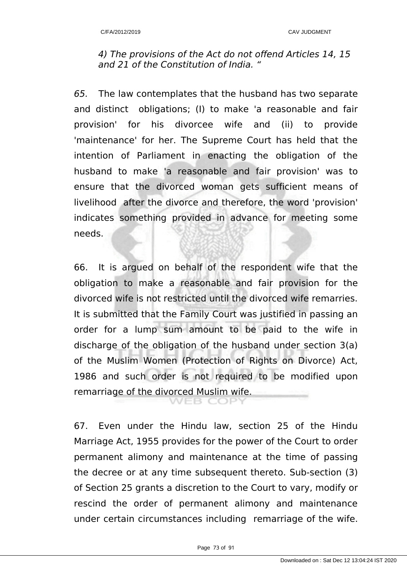## 4) The provisions of the Act do not offend Articles 14, 15 and 21 of the Constitution of India. "

65. The law contemplates that the husband has two separate and distinct obligations; (I) to make 'a reasonable and fair provision' for his divorcee wife and (ii) to provide 'maintenance' for her. The Supreme Court has held that the intention of Parliament in enacting the obligation of the husband to make 'a reasonable and fair provision' was to ensure that the divorced woman gets sufficient means of livelihood after the divorce and therefore, the word 'provision' indicates something provided in advance for meeting some needs.

66. It is argued on behalf of the respondent wife that the obligation to make a reasonable and fair provision for the divorced wife is not restricted until the divorced wife remarries. It is submitted that the Family Court was justified in passing an order for a lump sum amount to be paid to the wife in discharge of the obligation of the husband under section 3(a) of the Muslim Women (Protection of Rights on Divorce) Act, 1986 and such order is not required to be modified upon remarriage of the divorced Muslim wife.

67. Even under the Hindu law, section 25 of the Hindu Marriage Act, 1955 provides for the power of the Court to order permanent alimony and maintenance at the time of passing the decree or at any time subsequent thereto. Sub-section (3) of Section 25 grants a discretion to the Court to vary, modify or rescind the order of permanent alimony and maintenance under certain circumstances including remarriage of the wife.

Page 73 of 91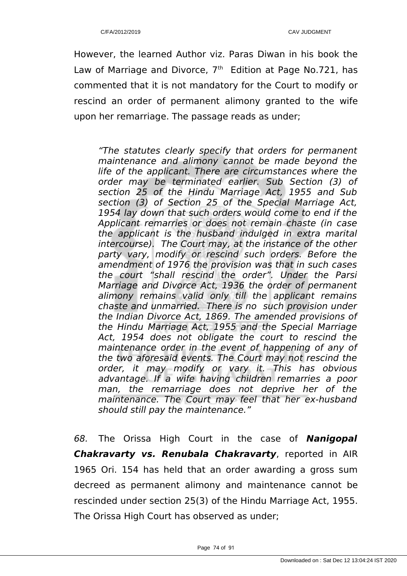However, the learned Author viz. Paras Diwan in his book the Law of Marriage and Divorce,  $7<sup>th</sup>$  Edition at Page No.721, has commented that it is not mandatory for the Court to modify or rescind an order of permanent alimony granted to the wife upon her remarriage. The passage reads as under;

"The statutes clearly specify that orders for permanent maintenance and alimony cannot be made beyond the life of the applicant. There are circumstances where the order may be terminated earlier. Sub Section (3) of section 25 of the Hindu Marriage Act, 1955 and Sub section (3) of Section 25 of the Special Marriage Act, 1954 lay down that such orders would come to end if the Applicant remarries or does not remain chaste (in case the applicant is the husband indulged in extra marital intercourse). The Court may, at the instance of the other party vary, modify or rescind such orders. Before the amendment of 1976 the provision was that in such cases the court "shall rescind the order". Under the Parsi Marriage and Divorce Act, 1936 the order of permanent alimony remains valid only till the applicant remains chaste and unmarried. There is no such provision under the Indian Divorce Act, 1869. The amended provisions of the Hindu Marriage Act, 1955 and the Special Marriage Act, 1954 does not obligate the court to rescind the maintenance order in the event of happening of any of the two aforesaid events. The Court may not rescind the order, it may modify or vary it. This has obvious advantage. If a wife having children remarries a poor man, the remarriage does not deprive her of the maintenance. The Court may feel that her ex-husband should still pay the maintenance."

68. The Orissa High Court in the case of **Nanigopal Chakravarty vs. Renubala Chakravarty**, reported in AIR 1965 Ori. 154 has held that an order awarding a gross sum decreed as permanent alimony and maintenance cannot be rescinded under section 25(3) of the Hindu Marriage Act, 1955. The Orissa High Court has observed as under;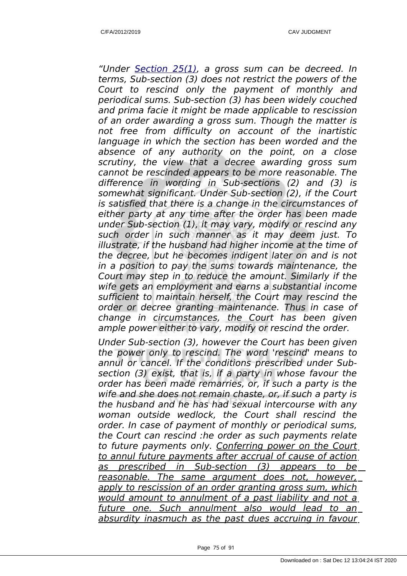"Under Section 25(1), a gross sum can be decreed. In terms, Sub-section (3) does not restrict the powers of the Court to rescind only the payment of monthly and periodical sums. Sub-section (3) has been widely couched and prima facie it might be made applicable to rescission of an order awarding a gross sum. Though the matter is not free from difficulty on account of the inartistic language in which the section has been worded and the absence of any authority on the point, on a close scrutiny, the view that a decree awarding gross sum cannot be rescinded appears to be more reasonable. The difference in wording in Sub-sections (2) and (3) is somewhat significant. Under Sub-section (2), if the Court is satisfied that there is a change in the circumstances of either party at any time after the order has been made under Sub-section (1), it may vary, modify or rescind any such order in such manner as it may deem just. To illustrate, if the husband had higher income at the time of the decree, but he becomes indigent later on and is not in a position to pay the sums towards maintenance, the Court may step in to reduce the amount. Similarly if the wife gets an employment and earns a substantial income sufficient to maintain herself, the Court may rescind the order or decree granting maintenance. Thus in case of change in circumstances, the Court has been given ample power either to vary, modify or rescind the order.

Under Sub-section (3), however the Court has been given the power only to rescind. The word 'rescind' means to annul or cancel. If the conditions prescribed under Subsection (3) exist, that is, if a party in whose favour the order has been made remarries, or, if such a party is the wife and she does not remain chaste, or, if such a party is the husband and he has had sexual intercourse with any woman outside wedlock, the Court shall rescind the order. In case of payment of monthly or periodical sums, the Court can rescind :he order as such payments relate to future payments only. Conferring power on the Court to annul future payments after accrual of cause of action as prescribed in Sub-section (3) appears to be reasonable. The same argument does not, however, apply to rescission of an order granting gross sum, which would amount to annulment of a past liability and not a future one. Such annulment also would lead to an absurdity inasmuch as the past dues accruing in favour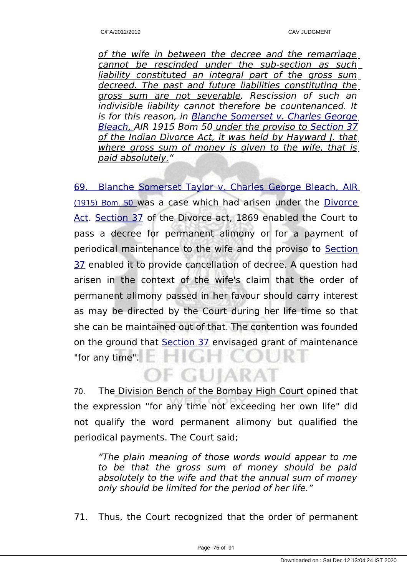of the wife in between the decree and the remarriage cannot be rescinded under the sub-section as such liability constituted an integral part of the gross sum decreed. The past and future liabilities constituting the gross sum are not severable. Rescission of such an indivisible liability cannot therefore be countenanced. It is for this reason, in Blanche Somerset v. Charles George Bleach, AIR 1915 Bom 50 under the proviso to Section 37 of the Indian Divorce Act, it was held by Hayward J. that where gross sum of money is given to the wife, that is paid absolutely."

 69. Blanche Somerset Taylor v. Charles George Bleach, AIR (1915) Bom. 50 was a case which had arisen under the Divorce Act. Section 37 of the Divorce act, 1869 enabled the Court to pass a decree for permanent alimony or for a payment of periodical maintenance to the wife and the proviso to Section 37 enabled it to provide cancellation of decree. A question had arisen in the context of the wife's claim that the order of permanent alimony passed in her favour should carry interest as may be directed by the Court during her life time so that she can be maintained out of that. The contention was founded on the ground that Section 37 envisaged grant of maintenance "for any time".

70. The Division Bench of the Bombay High Court opined that the expression "for any time not exceeding her own life" did not qualify the word permanent alimony but qualified the periodical payments. The Court said;

OF GUIARAT

"The plain meaning of those words would appear to me to be that the gross sum of money should be paid absolutely to the wife and that the annual sum of money only should be limited for the period of her life."

71. Thus, the Court recognized that the order of permanent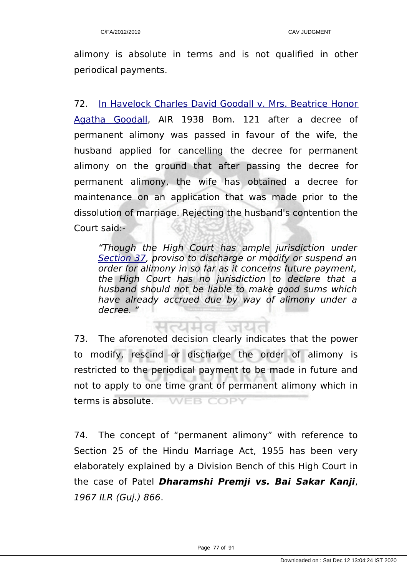alimony is absolute in terms and is not qualified in other periodical payments.

72. In Havelock Charles David Goodall v. Mrs. Beatrice Honor Agatha Goodall, AIR 1938 Bom. 121 after a decree of permanent alimony was passed in favour of the wife, the husband applied for cancelling the decree for permanent alimony on the ground that after passing the decree for permanent alimony, the wife has obtained a decree for maintenance on an application that was made prior to the dissolution of marriage. Rejecting the husband's contention the Court said:-

"Though the High Court has ample jurisdiction under Section 37, proviso to discharge or modify or suspend an order for alimony in so far as it concerns future payment, the High Court has no jurisdiction to declare that a husband should not be liable to make good sums which have already accrued due by way of alimony under a decree. "

73. The aforenoted decision clearly indicates that the power to modify, rescind or discharge the order of alimony is restricted to the periodical payment to be made in future and not to apply to one time grant of permanent alimony which in terms is absolute. WEB COPY

74. The concept of "permanent alimony" with reference to Section 25 of the Hindu Marriage Act, 1955 has been very elaborately explained by a Division Bench of this High Court in the case of Patel **Dharamshi Premji vs. Bai Sakar Kanji**, 1967 ILR (Guj.) 866.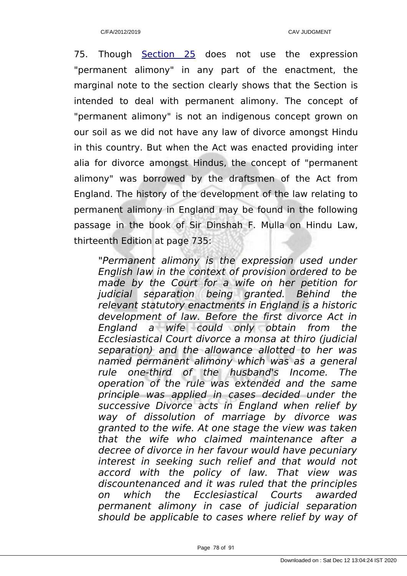75. Though Section 25 does not use the expression "permanent alimony" in any part of the enactment, the marginal note to the section clearly shows that the Section is intended to deal with permanent alimony. The concept of "permanent alimony" is not an indigenous concept grown on our soil as we did not have any law of divorce amongst Hindu in this country. But when the Act was enacted providing inter alia for divorce amongst Hindus, the concept of "permanent alimony" was borrowed by the draftsmen of the Act from England. The history of the development of the law relating to permanent alimony in England may be found in the following passage in the book of Sir Dinshah F. Mulla on Hindu Law, thirteenth Edition at page 735:

"Permanent alimony is the expression used under English law in the context of provision ordered to be made by the Court for a wife on her petition for judicial separation being granted. Behind the relevant statutory enactments in England is a historic development of law. Before the first divorce Act in England a wife could only obtain from the Ecclesiastical Court divorce a monsa at thiro (judicial separation) and the allowance allotted to her was named permanent alimony which was as a general rule one-third of the husband's Income. The operation of the rule was extended and the same principle was applied in cases decided under the successive Divorce acts in England when relief by way of dissolution of marriage by divorce was granted to the wife. At one stage the view was taken that the wife who claimed maintenance after a decree of divorce in her favour would have pecuniary interest in seeking such relief and that would not accord with the policy of law. That view was discountenanced and it was ruled that the principles on which the Ecclesiastical Courts awarded permanent alimony in case of judicial separation should be applicable to cases where relief by way of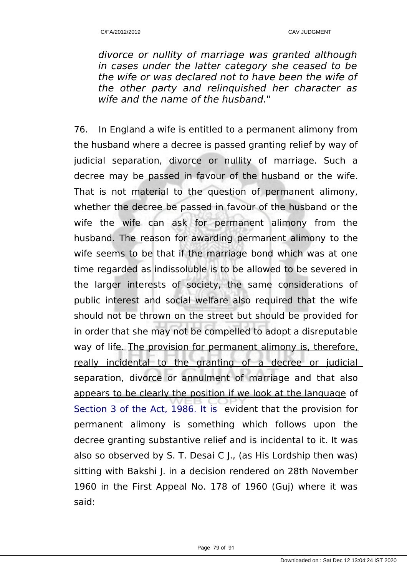divorce or nullity of marriage was granted although in cases under the latter category she ceased to be the wife or was declared not to have been the wife of the other party and relinquished her character as wife and the name of the husband."

76. In England a wife is entitled to a permanent alimony from the husband where a decree is passed granting relief by way of judicial separation, divorce or nullity of marriage. Such a decree may be passed in favour of the husband or the wife. That is not material to the question of permanent alimony, whether the decree be passed in favour of the husband or the wife the wife can ask for permanent alimony from the husband. The reason for awarding permanent alimony to the wife seems to be that if the marriage bond which was at one time regarded as indissoluble is to be allowed to be severed in the larger interests of society, the same considerations of public interest and social welfare also required that the wife should not be thrown on the street but should be provided for in order that she may not be compelled to adopt a disreputable way of life. The provision for permanent alimony is, therefore, really incidental to the granting of a decree or judicial separation, divorce or annulment of marriage and that also appears to be clearly the position if we look at the language of Section 3 of the Act, 1986. It is evident that the provision for permanent alimony is something which follows upon the decree granting substantive relief and is incidental to it. It was also so observed by S. T. Desai C J., (as His Lordship then was) sitting with Bakshi J. in a decision rendered on 28th November 1960 in the First Appeal No. 178 of 1960 (Guj) where it was said: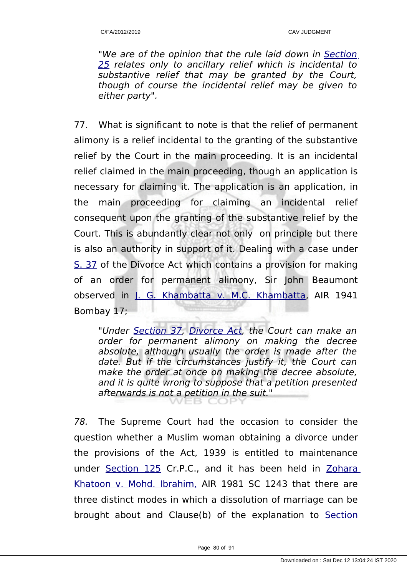"We are of the opinion that the rule laid down in Section 25 relates only to ancillary relief which is incidental to substantive relief that may be granted by the Court, though of course the incidental relief may be given to either party".

77. What is significant to note is that the relief of permanent alimony is a relief incidental to the granting of the substantive relief by the Court in the main proceeding. It is an incidental relief claimed in the main proceeding, though an application is necessary for claiming it. The application is an application, in the main proceeding for claiming an incidental relief consequent upon the granting of the substantive relief by the Court. This is abundantly clear not only on principle but there is also an authority in support of it. Dealing with a case under S. 37 of the Divorce Act which contains a provision for making of an order for permanent alimony, Sir John Beaumont observed in J. G. Khambatta v. M.C. Khambatta, AIR 1941 Bombay 17;

"Under Section 37, Divorce Act, the Court can make an order for permanent alimony on making the decree absolute, although usually the order is made after the date. But if the circumstances justify it, the Court can make the order at once on making the decree absolute, and it is quite wrong to suppose that a petition presented afterwards is not a petition in the suit."

78. The Supreme Court had the occasion to consider the question whether a Muslim woman obtaining a divorce under the provisions of the Act, 1939 is entitled to maintenance under Section 125 Cr.P.C., and it has been held in Zohara Khatoon v. Mohd. Ibrahim, AIR 1981 SC 1243 that there are three distinct modes in which a dissolution of marriage can be brought about and Clause(b) of the explanation to Section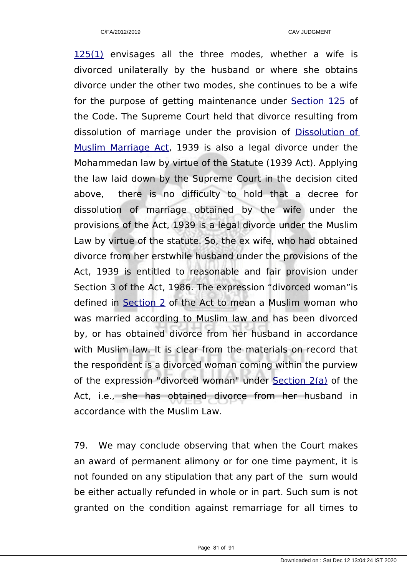125(1) envisages all the three modes, whether a wife is divorced unilaterally by the husband or where she obtains divorce under the other two modes, she continues to be a wife for the purpose of getting maintenance under Section 125 of the Code. The Supreme Court held that divorce resulting from dissolution of marriage under the provision of Dissolution of Muslim Marriage Act, 1939 is also a legal divorce under the Mohammedan law by virtue of the Statute (1939 Act). Applying the law laid down by the Supreme Court in the decision cited above, there is no difficulty to hold that a decree for dissolution of marriage obtained by the wife under the provisions of the Act, 1939 is a legal divorce under the Muslim Law by virtue of the statute. So, the ex wife, who had obtained divorce from her erstwhile husband under the provisions of the Act, 1939 is entitled to reasonable and fair provision under Section 3 of the Act, 1986. The expression "divorced woman"is defined in Section 2 of the Act to mean a Muslim woman who was married according to Muslim law and has been divorced by, or has obtained divorce from her husband in accordance with Muslim law. It is clear from the materials on record that the respondent is a divorced woman coming within the purview of the expression "divorced woman" under Section 2(a) of the Act, i.e., she has obtained divorce from her husband in accordance with the Muslim Law.

79. We may conclude observing that when the Court makes an award of permanent alimony or for one time payment, it is not founded on any stipulation that any part of the sum would be either actually refunded in whole or in part. Such sum is not granted on the condition against remarriage for all times to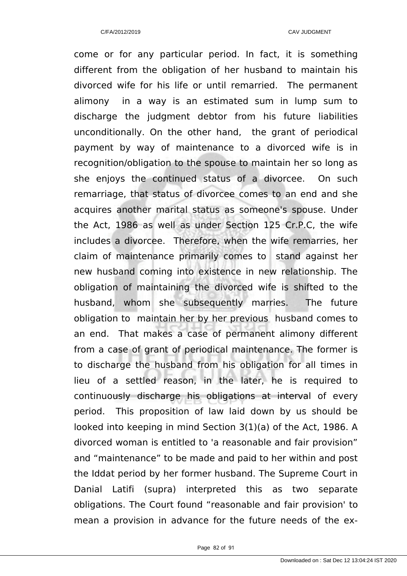come or for any particular period. In fact, it is something different from the obligation of her husband to maintain his divorced wife for his life or until remarried. The permanent alimony in a way is an estimated sum in lump sum to discharge the judgment debtor from his future liabilities unconditionally. On the other hand, the grant of periodical payment by way of maintenance to a divorced wife is in recognition/obligation to the spouse to maintain her so long as she enjoys the continued status of a divorcee. On such remarriage, that status of divorcee comes to an end and she acquires another marital status as someone's spouse. Under the Act, 1986 as well as under Section 125 Cr.P.C, the wife includes a divorcee. Therefore, when the wife remarries, her claim of maintenance primarily comes to stand against her new husband coming into existence in new relationship. The obligation of maintaining the divorced wife is shifted to the husband, whom she subsequently marries. The future obligation to maintain her by her previous husband comes to an end. That makes a case of permanent alimony different from a case of grant of periodical maintenance. The former is to discharge the husband from his obligation for all times in lieu of a settled reason, in the later, he is required to continuously discharge his obligations at interval of every period. This proposition of law laid down by us should be looked into keeping in mind Section 3(1)(a) of the Act, 1986. A divorced woman is entitled to 'a reasonable and fair provision" and "maintenance" to be made and paid to her within and post the Iddat period by her former husband. The Supreme Court in Danial Latifi (supra) interpreted this as two separate obligations. The Court found "reasonable and fair provision' to mean a provision in advance for the future needs of the ex-

Page 82 of 91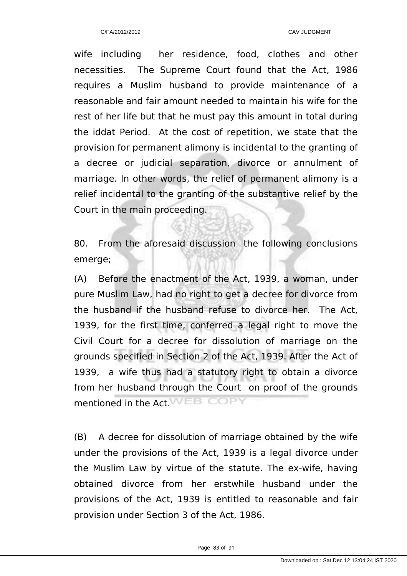wife including her residence, food, clothes and other necessities. The Supreme Court found that the Act, 1986 requires a Muslim husband to provide maintenance of a reasonable and fair amount needed to maintain his wife for the rest of her life but that he must pay this amount in total during the iddat Period. At the cost of repetition, we state that the provision for permanent alimony is incidental to the granting of a decree or judicial separation, divorce or annulment of marriage. In other words, the relief of permanent alimony is a relief incidental to the granting of the substantive relief by the Court in the main proceeding.

80. From the aforesaid discussion the following conclusions emerge;

(A) Before the enactment of the Act, 1939, a woman, under pure Muslim Law, had no right to get a decree for divorce from the husband if the husband refuse to divorce her. The Act, 1939, for the first time, conferred a legal right to move the Civil Court for a decree for dissolution of marriage on the grounds specified in Section 2 of the Act, 1939. After the Act of 1939, a wife thus had a statutory right to obtain a divorce from her husband through the Court on proof of the grounds mentioned in the Act. WEB COPY

(B) A decree for dissolution of marriage obtained by the wife under the provisions of the Act, 1939 is a legal divorce under the Muslim Law by virtue of the statute. The ex-wife, having obtained divorce from her erstwhile husband under the provisions of the Act, 1939 is entitled to reasonable and fair provision under Section 3 of the Act, 1986.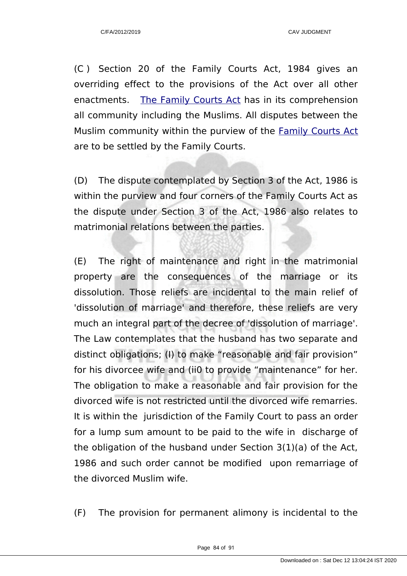(C ) Section 20 of the Family Courts Act, 1984 gives an overriding effect to the provisions of the Act over all other enactments. The Family Courts Act has in its comprehension all community including the Muslims. All disputes between the Muslim community within the purview of the Family Courts Act are to be settled by the Family Courts.

(D) The dispute contemplated by Section 3 of the Act, 1986 is within the purview and four corners of the Family Courts Act as the dispute under Section 3 of the Act, 1986 also relates to matrimonial relations between the parties.

(E) The right of maintenance and right in the matrimonial property are the consequences of the marriage or its dissolution. Those reliefs are incidental to the main relief of 'dissolution of marriage' and therefore, these reliefs are very much an integral part of the decree of 'dissolution of marriage'. The Law contemplates that the husband has two separate and distinct obligations; (I) to make "reasonable and fair provision" for his divorcee wife and (ii0 to provide "maintenance" for her. The obligation to make a reasonable and fair provision for the divorced wife is not restricted until the divorced wife remarries. It is within the jurisdiction of the Family Court to pass an order for a lump sum amount to be paid to the wife in discharge of the obligation of the husband under Section 3(1)(a) of the Act, 1986 and such order cannot be modified upon remarriage of the divorced Muslim wife.

(F) The provision for permanent alimony is incidental to the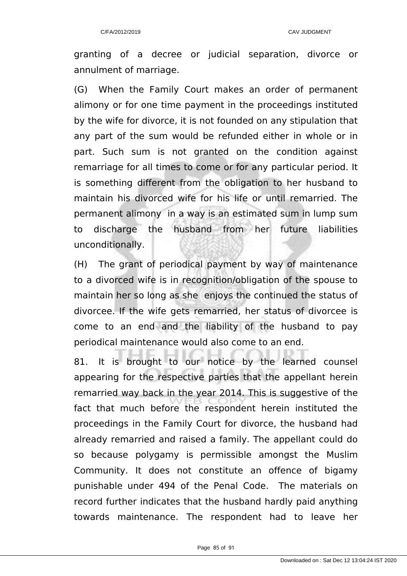granting of a decree or judicial separation, divorce or annulment of marriage.

(G) When the Family Court makes an order of permanent alimony or for one time payment in the proceedings instituted by the wife for divorce, it is not founded on any stipulation that any part of the sum would be refunded either in whole or in part. Such sum is not granted on the condition against remarriage for all times to come or for any particular period. It is something different from the obligation to her husband to maintain his divorced wife for his life or until remarried. The permanent alimony in a way is an estimated sum in lump sum to discharge the husband from her future liabilities unconditionally.

(H) The grant of periodical payment by way of maintenance to a divorced wife is in recognition/obligation of the spouse to maintain her so long as she enjoys the continued the status of divorcee. If the wife gets remarried, her status of divorcee is come to an end and the liability of the husband to pay periodical maintenance would also come to an end.

81. It is brought to our notice by the learned counsel appearing for the respective parties that the appellant herein remarried way back in the year 2014. This is suggestive of the fact that much before the respondent herein instituted the proceedings in the Family Court for divorce, the husband had already remarried and raised a family. The appellant could do so because polygamy is permissible amongst the Muslim Community. It does not constitute an offence of bigamy punishable under 494 of the Penal Code. The materials on record further indicates that the husband hardly paid anything towards maintenance. The respondent had to leave her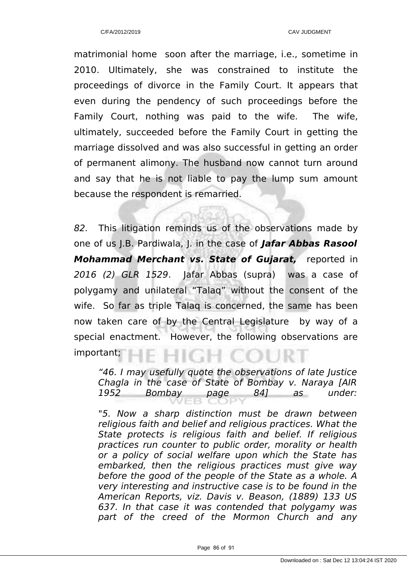matrimonial home soon after the marriage, i.e., sometime in 2010. Ultimately, she was constrained to institute the proceedings of divorce in the Family Court. It appears that even during the pendency of such proceedings before the Family Court, nothing was paid to the wife. The wife, ultimately, succeeded before the Family Court in getting the marriage dissolved and was also successful in getting an order of permanent alimony. The husband now cannot turn around and say that he is not liable to pay the lump sum amount because the respondent is remarried.

82. This litigation reminds us of the observations made by one of us J.B. Pardiwala, J. in the case of **Jafar Abbas Rasool Mohammad Merchant vs. State of Gujarat,** reported in 2016 (2) GLR 1529. Jafar Abbas (supra) was a case of polygamy and unilateral "Talaq" without the consent of the wife. So far as triple Talaq is concerned, the same has been now taken care of by the Central Legislature by way of a special enactment. However, the following observations are important;

"46. I may usefully quote the observations of late Justice Chagla in the case of State of Bombay v. Naraya [AIR 1952 Bombay page 84] as under:

"5. Now a sharp distinction must be drawn between religious faith and belief and religious practices. What the State protects is religious faith and belief. If religious practices run counter to public order, morality or health or a policy of social welfare upon which the State has embarked, then the religious practices must give way before the good of the people of the State as a whole. A very interesting and instructive case is to be found in the American Reports, viz. Davis v. Beason, (1889) 133 US 637. In that case it was contended that polygamy was part of the creed of the Mormon Church and any

Page 86 of 91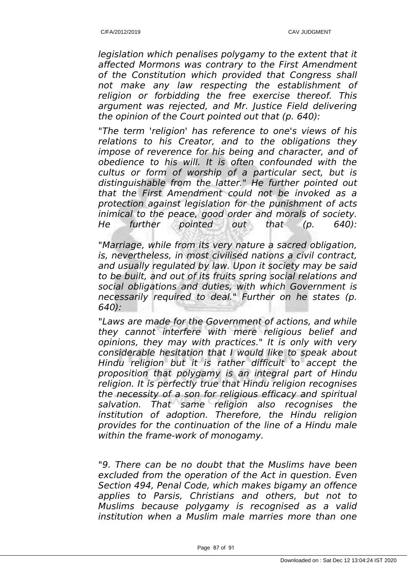legislation which penalises polygamy to the extent that it affected Mormons was contrary to the First Amendment of the Constitution which provided that Congress shall not make any law respecting the establishment of religion or forbidding the free exercise thereof. This argument was rejected, and Mr. Justice Field delivering the opinion of the Court pointed out that (p. 640):

"The term 'religion' has reference to one's views of his relations to his Creator, and to the obligations they impose of reverence for his being and character, and of obedience to his will. It is often confounded with the cultus or form of worship of a particular sect, but is distinguishable from the latter." He further pointed out that the First Amendment could not be invoked as a protection against legislation for the punishment of acts inimical to the peace, good order and morals of society. He further pointed out that (p. 640):

"Marriage, while from its very nature a sacred obligation, is, nevertheless, in most civilised nations a civil contract, and usually regulated by law. Upon it society may be said to be built, and out of its fruits spring social relations and social obligations and duties, with which Government is necessarily required to deal." Further on he states (p. 640):

"Laws are made for the Government of actions, and while they cannot interfere with mere religious belief and opinions, they may with practices." It is only with very considerable hesitation that I would like to speak about Hindu religion but it is rather difficult to accept the proposition that polygamy is an integral part of Hindu religion. It is perfectly true that Hindu religion recognises the necessity of a son for religious efficacy and spiritual salvation. That same religion also recognises the institution of adoption. Therefore, the Hindu religion provides for the continuation of the line of a Hindu male within the frame-work of monogamy.

"9. There can be no doubt that the Muslims have been excluded from the operation of the Act in question. Even Section 494, Penal Code, which makes bigamy an offence applies to Parsis, Christians and others, but not to Muslims because polygamy is recognised as a valid institution when a Muslim male marries more than one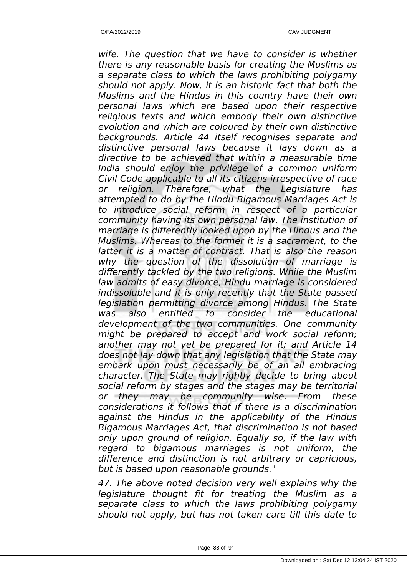wife. The question that we have to consider is whether there is any reasonable basis for creating the Muslims as a separate class to which the laws prohibiting polygamy should not apply. Now, it is an historic fact that both the Muslims and the Hindus in this country have their own personal laws which are based upon their respective religious texts and which embody their own distinctive evolution and which are coloured by their own distinctive backgrounds. Article 44 itself recognises separate and distinctive personal laws because it lays down as a directive to be achieved that within a measurable time India should enjoy the privilege of a common uniform Civil Code applicable to all its citizens irrespective of race or religion. Therefore, what the Legislature has attempted to do by the Hindu Bigamous Marriages Act is to introduce social reform in respect of a particular community having its own personal law. The institution of marriage is differently looked upon by the Hindus and the Muslims. Whereas to the former it is a sacrament, to the latter it is a matter of contract. That is also the reason why the question of the dissolution of marriage is differently tackled by the two religions. While the Muslim law admits of easy divorce, Hindu marriage is considered indissoluble and it is only recently that the State passed legislation permitting divorce among Hindus. The State was also entitled to consider the educational development of the two communities. One community might be prepared to accept and work social reform; another may not yet be prepared for it; and Article 14 does not lay down that any legislation that the State may embark upon must necessarily be of an all embracing character. The State may rightly decide to bring about social reform by stages and the stages may be territorial or they may be community wise. From these considerations it follows that if there is a discrimination against the Hindus in the applicability of the Hindus Bigamous Marriages Act, that discrimination is not based only upon ground of religion. Equally so, if the law with regard to bigamous marriages is not uniform, the difference and distinction is not arbitrary or capricious, but is based upon reasonable grounds."

47. The above noted decision very well explains why the legislature thought fit for treating the Muslim as a separate class to which the laws prohibiting polygamy should not apply, but has not taken care till this date to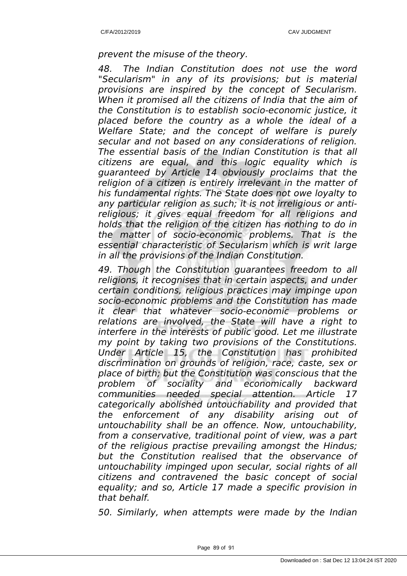prevent the misuse of the theory.

48. The Indian Constitution does not use the word "Secularism" in any of its provisions; but is material provisions are inspired by the concept of Secularism. When it promised all the citizens of India that the aim of the Constitution is to establish socio-economic justice, it placed before the country as a whole the ideal of a Welfare State; and the concept of welfare is purely secular and not based on any considerations of religion. The essential basis of the Indian Constitution is that all citizens are equal, and this logic equality which is guaranteed by Article 14 obviously proclaims that the religion of a citizen is entirely irrelevant in the matter of his fundamental rights. The State does not owe loyalty to any particular religion as such; it is not irreligious or antireligious; it gives equal freedom for all religions and holds that the religion of the citizen has nothing to do in the matter of socio-economic problems. That is the essential characteristic of Secularism which is writ large in all the provisions of the Indian Constitution.

49. Though the Constitution guarantees freedom to all religions, it recognises that in certain aspects, and under certain conditions, religious practices may impinge upon socio-economic problems and the Constitution has made it clear that whatever socio-economic problems or relations are involved, the State will have a right to interfere in the interests of public good. Let me illustrate my point by taking two provisions of the Constitutions. Under Article 15, the Constitution has prohibited discrimination on grounds of religion, race, caste, sex or place of birth; but the Constitution was conscious that the problem of sociality and economically backward communities needed special attention. Article 17 categorically abolished untouchability and provided that the enforcement of any disability arising out of untouchability shall be an offence. Now, untouchability, from a conservative, traditional point of view, was a part of the religious practise prevailing amongst the Hindus; but the Constitution realised that the observance of untouchability impinged upon secular, social rights of all citizens and contravened the basic concept of social equality; and so, Article 17 made a specific provision in that behalf.

50. Similarly, when attempts were made by the Indian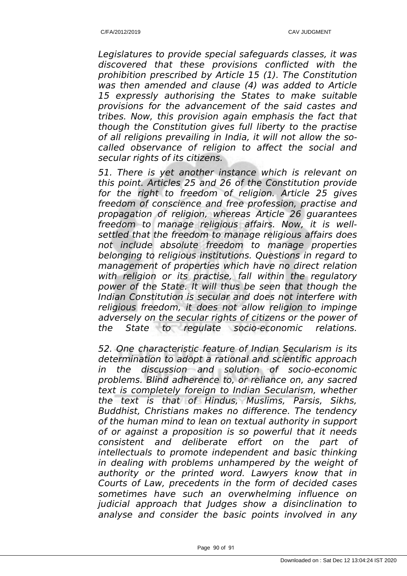Legislatures to provide special safeguards classes, it was discovered that these provisions conflicted with the prohibition prescribed by Article 15 (1). The Constitution was then amended and clause (4) was added to Article 15 expressly authorising the States to make suitable provisions for the advancement of the said castes and tribes. Now, this provision again emphasis the fact that though the Constitution gives full liberty to the practise of all religions prevailing in India, it will not allow the socalled observance of religion to affect the social and secular rights of its citizens.

51. There is yet another instance which is relevant on this point. Articles 25 and 26 of the Constitution provide for the right to freedom of religion. Article 25 gives freedom of conscience and free profession, practise and propagation of religion, whereas Article 26 guarantees freedom to manage religious affairs. Now, it is wellsettled that the freedom to manage religious affairs does not include absolute freedom to manage properties belonging to religious institutions. Questions in regard to management of properties which have no direct relation with religion or its practise, fall within the regulatory power of the State. It will thus be seen that though the Indian Constitution is secular and does not interfere with religious freedom, it does not allow religion to impinge adversely on the secular rights of citizens or the power of the State to regulate socio-economic relations.

52. One characteristic feature of Indian Secularism is its determination to adopt a rational and scientific approach in the discussion and solution of socio-economic problems. Blind adherence to, or reliance on, any sacred text is completely foreign to Indian Secularism, whether the text is that of Hindus, Muslims, Parsis, Sikhs, Buddhist, Christians makes no difference. The tendency of the human mind to lean on textual authority in support of or against a proposition is so powerful that it needs consistent and deliberate effort on the part of intellectuals to promote independent and basic thinking in dealing with problems unhampered by the weight of authority or the printed word. Lawyers know that in Courts of Law, precedents in the form of decided cases sometimes have such an overwhelming influence on judicial approach that Judges show a disinclination to analyse and consider the basic points involved in any